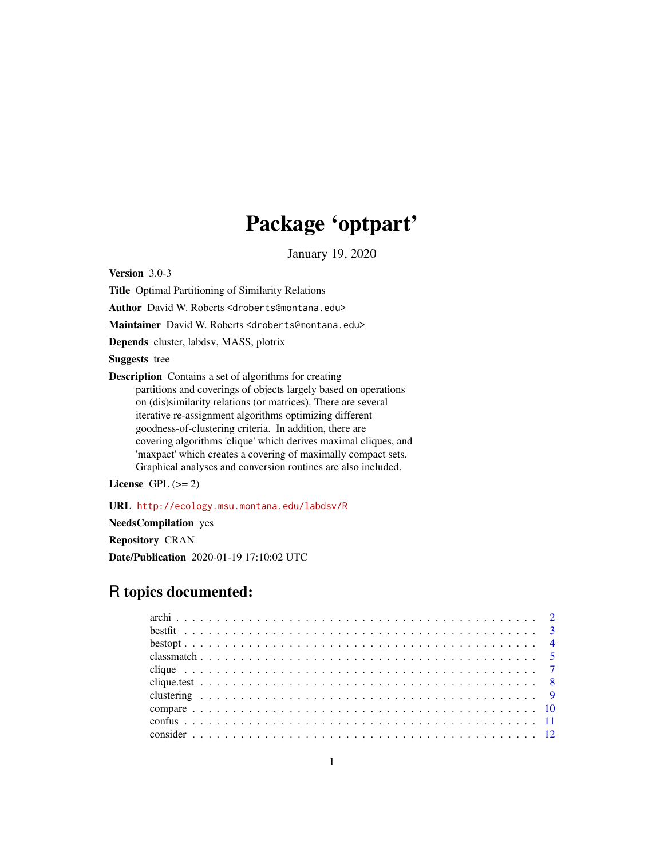# Package 'optpart'

January 19, 2020

<span id="page-0-0"></span>Version 3.0-3

Title Optimal Partitioning of Similarity Relations

Author David W. Roberts <droberts@montana.edu>

Maintainer David W. Roberts <droberts@montana.edu>

Depends cluster, labdsv, MASS, plotrix

# Suggests tree

Description Contains a set of algorithms for creating partitions and coverings of objects largely based on operations on (dis)similarity relations (or matrices). There are several iterative re-assignment algorithms optimizing different goodness-of-clustering criteria. In addition, there are covering algorithms 'clique' which derives maximal cliques, and 'maxpact' which creates a covering of maximally compact sets. Graphical analyses and conversion routines are also included.

License GPL  $(>= 2)$ 

URL <http://ecology.msu.montana.edu/labdsv/R>

NeedsCompilation yes

Repository CRAN

Date/Publication 2020-01-19 17:10:02 UTC

# R topics documented: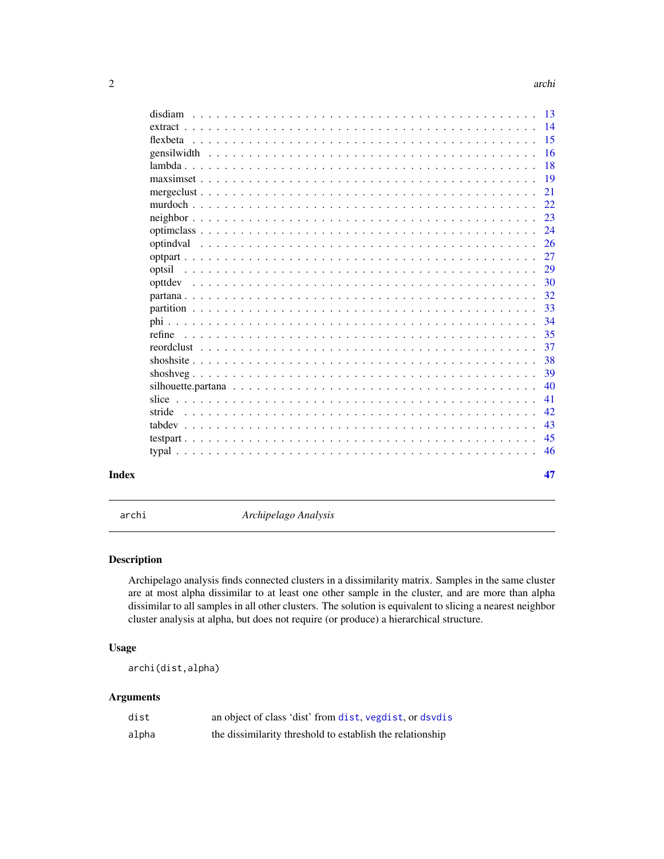<span id="page-1-0"></span>

| Index |        | 47        |
|-------|--------|-----------|
|       |        | 46        |
|       |        | 45        |
|       |        | 43        |
|       | stride | 42        |
|       |        | 41        |
|       |        | 40        |
|       |        | 39        |
|       |        | 38        |
|       |        | 37        |
|       | refine | 35        |
|       |        | 34        |
|       |        | 33        |
|       |        | 32        |
|       |        | 30        |
|       | optsil | 29        |
|       |        | 27        |
|       |        | 26        |
|       |        | 24        |
|       |        | 23        |
|       |        | 22        |
|       |        | 21        |
|       |        | <b>19</b> |
|       |        | 18        |
|       |        | 16        |
|       |        | 14<br>15  |
|       |        | -13       |
|       |        |           |

<span id="page-1-1"></span>archi *Archipelago Analysis*

# Description

Archipelago analysis finds connected clusters in a dissimilarity matrix. Samples in the same cluster are at most alpha dissimilar to at least one other sample in the cluster, and are more than alpha dissimilar to all samples in all other clusters. The solution is equivalent to slicing a nearest neighbor cluster analysis at alpha, but does not require (or produce) a hierarchical structure.

# Usage

archi(dist,alpha)

| dist  | an object of class 'dist' from dist, vegdist, or dsvdis   |
|-------|-----------------------------------------------------------|
| alpha | the dissimilarity threshold to establish the relationship |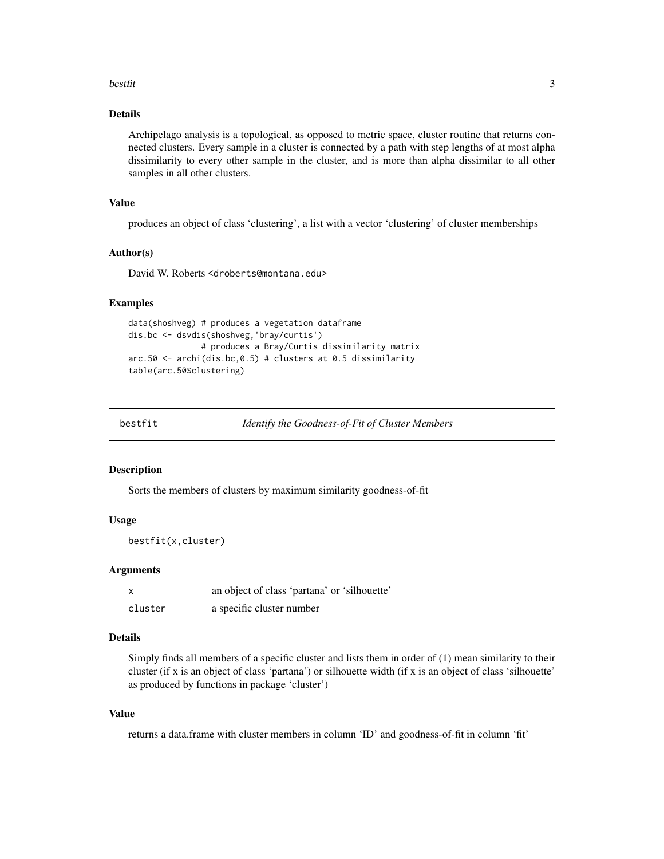#### <span id="page-2-0"></span> $\epsilon$ bestfit  $\epsilon$  3

# Details

Archipelago analysis is a topological, as opposed to metric space, cluster routine that returns connected clusters. Every sample in a cluster is connected by a path with step lengths of at most alpha dissimilarity to every other sample in the cluster, and is more than alpha dissimilar to all other samples in all other clusters.

#### Value

produces an object of class 'clustering', a list with a vector 'clustering' of cluster memberships

#### Author(s)

David W. Roberts <droberts@montana.edu>

# Examples

```
data(shoshveg) # produces a vegetation dataframe
dis.bc <- dsvdis(shoshveg,'bray/curtis')
               # produces a Bray/Curtis dissimilarity matrix
arc.50 <- archi(dis.bc,0.5) # clusters at 0.5 dissimilarity
table(arc.50$clustering)
```
bestfit *Identify the Goodness-of-Fit of Cluster Members*

#### Description

Sorts the members of clusters by maximum similarity goodness-of-fit

# Usage

bestfit(x,cluster)

#### Arguments

|         | an object of class 'partana' or 'silhouette' |
|---------|----------------------------------------------|
| cluster | a specific cluster number                    |

# Details

Simply finds all members of a specific cluster and lists them in order of (1) mean similarity to their cluster (if x is an object of class 'partana') or silhouette width (if x is an object of class 'silhouette' as produced by functions in package 'cluster')

#### Value

returns a data.frame with cluster members in column 'ID' and goodness-of-fit in column 'fit'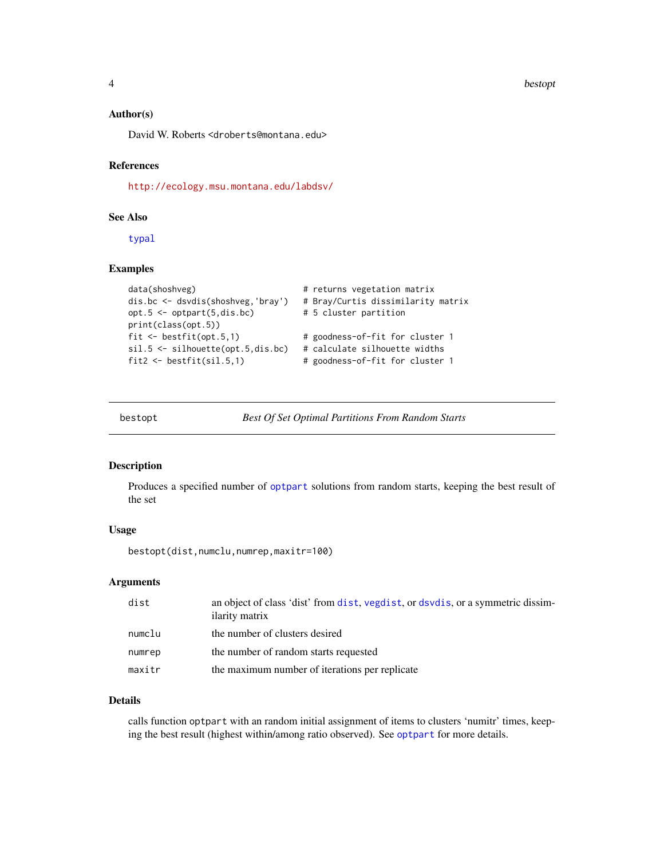<span id="page-3-0"></span>4 bestopt the state of the state of the state of the state of the state of the state of the state of the state of the state of the state of the state of the state of the state of the state of the state of the state of the

#### Author(s)

David W. Roberts <droberts@montana.edu>

#### References

<http://ecology.msu.montana.edu/labdsv/>

# See Also

[typal](#page-45-1)

# Examples

```
data(shoshveg) # returns vegetation matrix
dis.bc <- dsvdis(shoshveg,'bray') # Bray/Curtis dissimilarity matrix
opt.5 <- optpart(5,dis.bc) # 5 cluster partition
print(class(opt.5))
fit <- bestfit(opt.5,1) # goodness-of-fit for cluster 1
sil.5 <- silhouette(opt.5,dis.bc) # calculate silhouette widths
fit2 <- bestfit(sil.5,1) # goodness-of-fit for cluster 1
```
<span id="page-3-1"></span>

| bestopt | <b>Best Of Set Optimal Partitions From Random Starts</b> |
|---------|----------------------------------------------------------|
|---------|----------------------------------------------------------|

# Description

Produces a specified number of [optpart](#page-26-1) solutions from random starts, keeping the best result of the set

# Usage

```
bestopt(dist,numclu,numrep,maxitr=100)
```
# Arguments

| dist   | an object of class 'dist' from dist, vegdist, or dsvdis, or a symmetric dissim-<br>ilarity matrix |
|--------|---------------------------------------------------------------------------------------------------|
| numclu | the number of clusters desired                                                                    |
| numrep | the number of random starts requested                                                             |
| maxitr | the maximum number of iterations per replicate                                                    |

# Details

calls function optpart with an random initial assignment of items to clusters 'numitr' times, keeping the best result (highest within/among ratio observed). See [optpart](#page-26-1) for more details.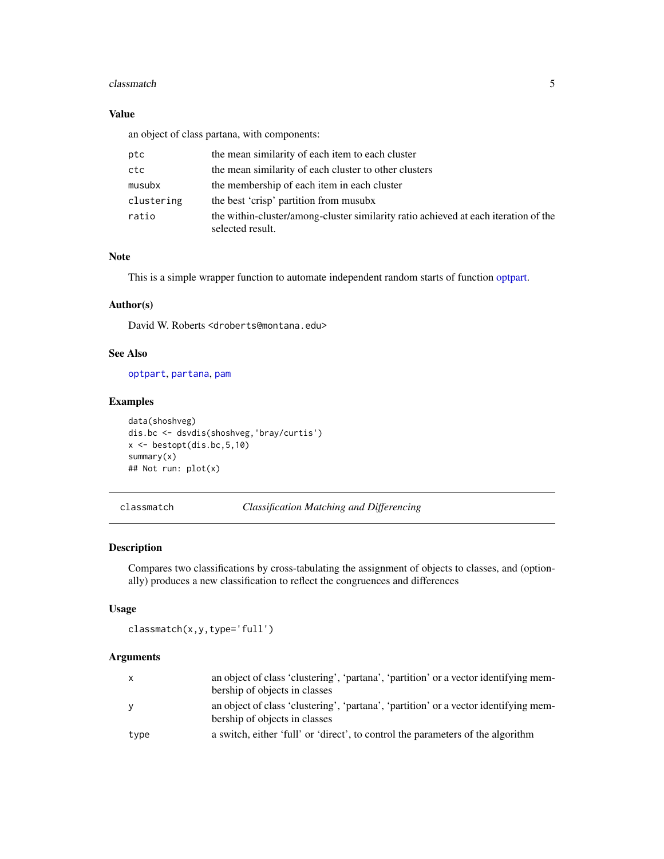#### <span id="page-4-0"></span>classmatch 5

# Value

an object of class partana, with components:

| ptc        | the mean similarity of each item to each cluster                                                        |
|------------|---------------------------------------------------------------------------------------------------------|
| ctc        | the mean similarity of each cluster to other clusters                                                   |
| musubx     | the membership of each item in each cluster                                                             |
| clustering | the best 'crisp' partition from musubx                                                                  |
| ratio      | the within-cluster/among-cluster similarity ratio achieved at each iteration of the<br>selected result. |

# Note

This is a simple wrapper function to automate independent random starts of function [optpart.](#page-26-1)

# Author(s)

David W. Roberts <droberts@montana.edu>

# See Also

[optpart](#page-26-1), [partana](#page-31-1), [pam](#page-0-0)

# Examples

```
data(shoshveg)
dis.bc <- dsvdis(shoshveg,'bray/curtis')
x \leftarrow bestopt(dis(bc, 5, 10))summary(x)
## Not run: plot(x)
```
<span id="page-4-1"></span>classmatch *Classification Matching and Differencing*

# Description

Compares two classifications by cross-tabulating the assignment of objects to classes, and (optionally) produces a new classification to reflect the congruences and differences

# Usage

```
classmatch(x,y,type='full')
```

| x    | an object of class 'clustering', 'partana', 'partition' or a vector identifying mem-<br>bership of objects in classes |
|------|-----------------------------------------------------------------------------------------------------------------------|
| ٧    | an object of class 'clustering', 'partana', 'partition' or a vector identifying mem-<br>bership of objects in classes |
| type | a switch, either 'full' or 'direct', to control the parameters of the algorithm                                       |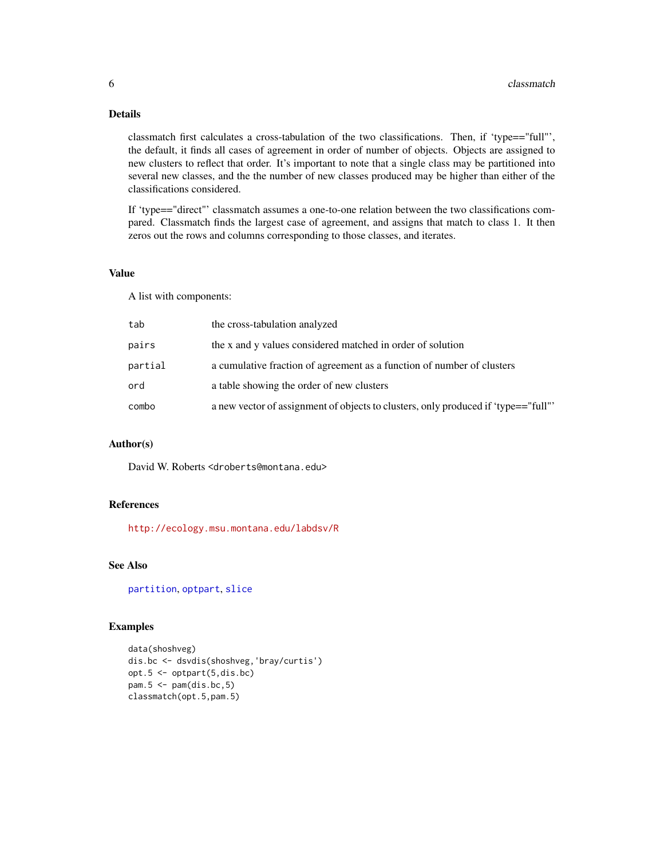# <span id="page-5-0"></span>Details

classmatch first calculates a cross-tabulation of the two classifications. Then, if 'type=="full"', the default, it finds all cases of agreement in order of number of objects. Objects are assigned to new clusters to reflect that order. It's important to note that a single class may be partitioned into several new classes, and the the number of new classes produced may be higher than either of the classifications considered.

If 'type=="direct"' classmatch assumes a one-to-one relation between the two classifications compared. Classmatch finds the largest case of agreement, and assigns that match to class 1. It then zeros out the rows and columns corresponding to those classes, and iterates.

# Value

A list with components:

| tab     | the cross-tabulation analyzed                                                     |
|---------|-----------------------------------------------------------------------------------|
| pairs   | the x and y values considered matched in order of solution                        |
| partial | a cumulative fraction of agreement as a function of number of clusters            |
| ord     | a table showing the order of new clusters                                         |
| combo   | a new vector of assignment of objects to clusters, only produced if 'type=="full" |

# Author(s)

David W. Roberts <droberts@montana.edu>

# References

<http://ecology.msu.montana.edu/labdsv/R>

# See Also

[partition](#page-32-1), [optpart](#page-26-1), [slice](#page-40-1)

# Examples

```
data(shoshveg)
dis.bc <- dsvdis(shoshveg,'bray/curtis')
opt.5 <- optpart(5,dis.bc)
pam.5 \leq pam(dis(bc,5))classmatch(opt.5,pam.5)
```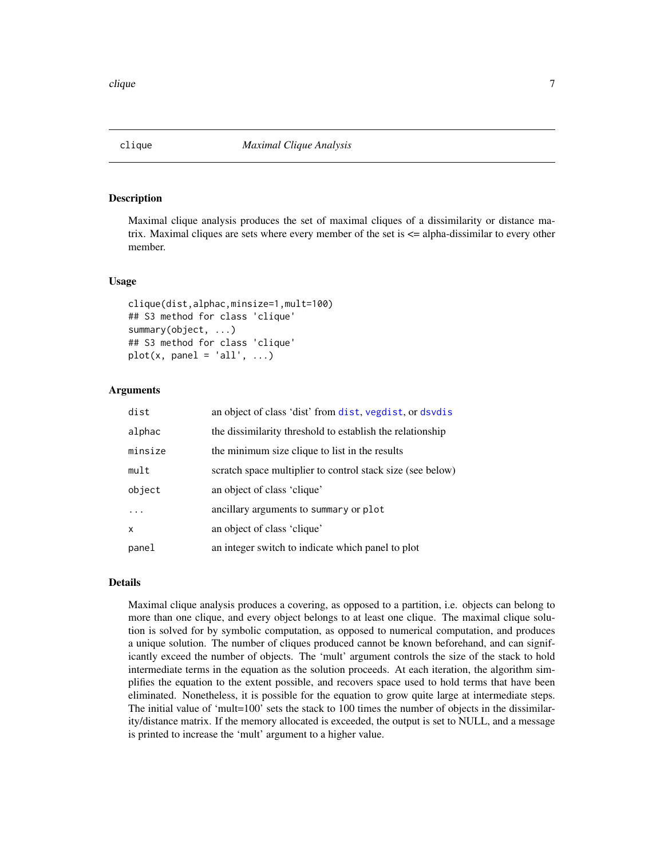<span id="page-6-0"></span>clique to the contract of the contract of the contract of the contract of the contract of the contract of the contract of the contract of the contract of the contract of the contract of the contract of the contract of the

<span id="page-6-1"></span>

# Description

Maximal clique analysis produces the set of maximal cliques of a dissimilarity or distance matrix. Maximal cliques are sets where every member of the set is <= alpha-dissimilar to every other member.

# Usage

```
clique(dist,alphac,minsize=1,mult=100)
## S3 method for class 'clique'
summary(object, ...)
## S3 method for class 'clique'
plot(x, panel = 'all', ...)
```
#### Arguments

| dist       | an object of class 'dist' from dist, vegdist, or dsvdis    |
|------------|------------------------------------------------------------|
| alphac     | the dissimilarity threshold to establish the relationship  |
| minsize    | the minimum size clique to list in the results             |
| mult       | scratch space multiplier to control stack size (see below) |
| object     | an object of class 'clique'                                |
| $\ddots$ . | ancillary arguments to summary or plot                     |
| x          | an object of class 'clique'                                |
| panel      | an integer switch to indicate which panel to plot          |

# Details

Maximal clique analysis produces a covering, as opposed to a partition, i.e. objects can belong to more than one clique, and every object belongs to at least one clique. The maximal clique solution is solved for by symbolic computation, as opposed to numerical computation, and produces a unique solution. The number of cliques produced cannot be known beforehand, and can significantly exceed the number of objects. The 'mult' argument controls the size of the stack to hold intermediate terms in the equation as the solution proceeds. At each iteration, the algorithm simplifies the equation to the extent possible, and recovers space used to hold terms that have been eliminated. Nonetheless, it is possible for the equation to grow quite large at intermediate steps. The initial value of 'mult=100' sets the stack to 100 times the number of objects in the dissimilarity/distance matrix. If the memory allocated is exceeded, the output is set to NULL, and a message is printed to increase the 'mult' argument to a higher value.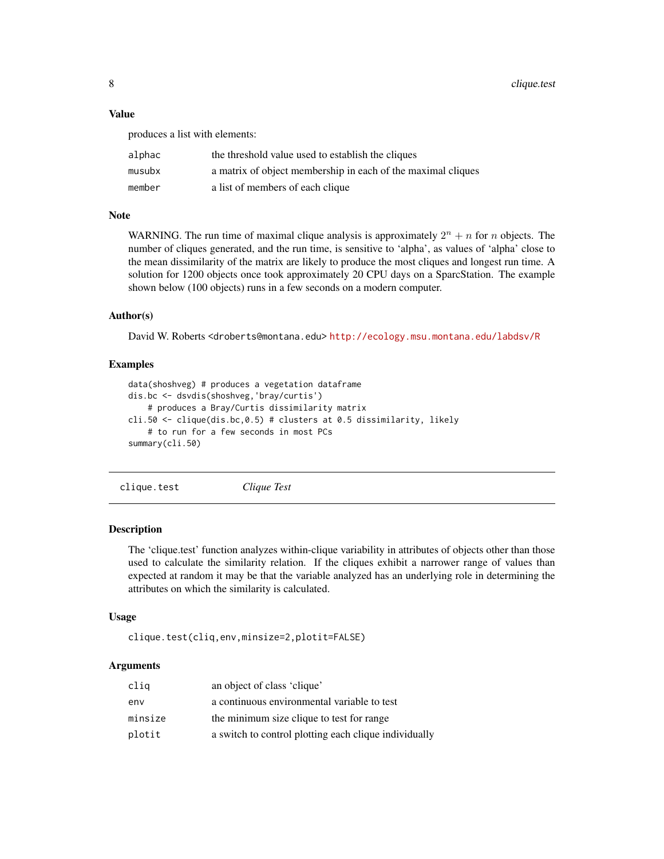#### <span id="page-7-0"></span>Value

produces a list with elements:

| alphac | the threshold value used to establish the cliques            |
|--------|--------------------------------------------------------------|
| musubx | a matrix of object membership in each of the maximal cliques |
| member | a list of members of each clique                             |

# Note

WARNING. The run time of maximal clique analysis is approximately  $2^n + n$  for n objects. The number of cliques generated, and the run time, is sensitive to 'alpha', as values of 'alpha' close to the mean dissimilarity of the matrix are likely to produce the most cliques and longest run time. A solution for 1200 objects once took approximately 20 CPU days on a SparcStation. The example shown below (100 objects) runs in a few seconds on a modern computer.

# Author(s)

David W. Roberts <droberts@montana.edu> <http://ecology.msu.montana.edu/labdsv/R>

# Examples

```
data(shoshveg) # produces a vegetation dataframe
dis.bc <- dsvdis(shoshveg,'bray/curtis')
    # produces a Bray/Curtis dissimilarity matrix
cli.50 <- clique(dis.bc,0.5) # clusters at 0.5 dissimilarity, likely
   # to run for a few seconds in most PCs
summary(cli.50)
```
clique.test *Clique Test*

# Description

The 'clique.test' function analyzes within-clique variability in attributes of objects other than those used to calculate the similarity relation. If the cliques exhibit a narrower range of values than expected at random it may be that the variable analyzed has an underlying role in determining the attributes on which the similarity is calculated.

#### Usage

```
clique.test(cliq,env,minsize=2,plotit=FALSE)
```

| clig    | an object of class 'clique'                           |
|---------|-------------------------------------------------------|
| env     | a continuous environmental variable to test           |
| minsize | the minimum size clique to test for range             |
| plotit  | a switch to control plotting each clique individually |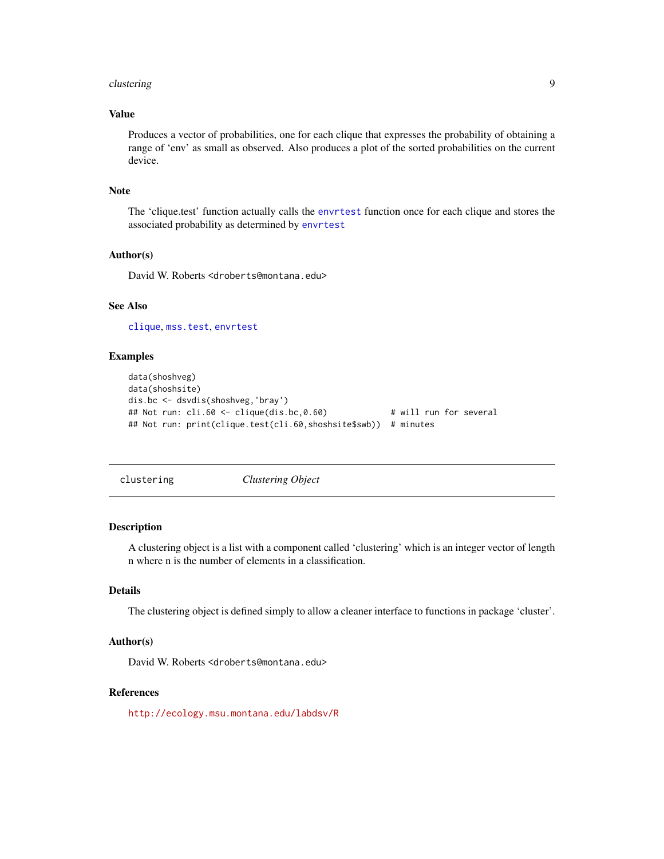#### <span id="page-8-0"></span>clustering the contract of the contract of the contract of the contract of the contract of the contract of the contract of the contract of the contract of the contract of the contract of the contract of the contract of the

# Value

Produces a vector of probabilities, one for each clique that expresses the probability of obtaining a range of 'env' as small as observed. Also produces a plot of the sorted probabilities on the current device.

# Note

The 'clique.test' function actually calls the [envrtest](#page-0-0) function once for each clique and stores the associated probability as determined by [envrtest](#page-0-0)

# Author(s)

David W. Roberts <droberts@montana.edu>

# See Also

[clique](#page-6-1), [mss.test](#page-18-1), [envrtest](#page-0-0)

# Examples

```
data(shoshveg)
data(shoshsite)
dis.bc <- dsvdis(shoshveg,'bray')
## Not run: cli.60 <- clique(dis.bc,0.60) # will run for several
## Not run: print(clique.test(cli.60,shoshsite$swb)) # minutes
```
<span id="page-8-1"></span>clustering *Clustering Object*

#### Description

A clustering object is a list with a component called 'clustering' which is an integer vector of length n where n is the number of elements in a classification.

# Details

The clustering object is defined simply to allow a cleaner interface to functions in package 'cluster'.

# Author(s)

David W. Roberts <droberts@montana.edu>

# References

<http://ecology.msu.montana.edu/labdsv/R>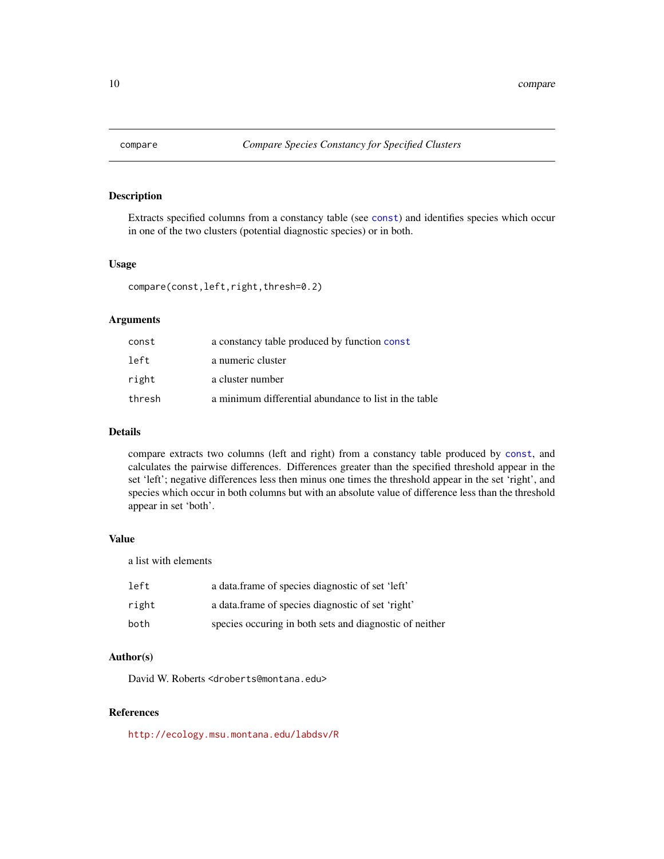<span id="page-9-0"></span>

# Description

Extracts specified columns from a constancy table (see [const](#page-0-0)) and identifies species which occur in one of the two clusters (potential diagnostic species) or in both.

# Usage

compare(const,left,right,thresh=0.2)

# **Arguments**

| const  | a constancy table produced by function const          |
|--------|-------------------------------------------------------|
| left   | a numeric cluster                                     |
| right  | a cluster number                                      |
| thresh | a minimum differential abundance to list in the table |

# Details

compare extracts two columns (left and right) from a constancy table produced by [const](#page-0-0), and calculates the pairwise differences. Differences greater than the specified threshold appear in the set 'left'; negative differences less then minus one times the threshold appear in the set 'right', and species which occur in both columns but with an absolute value of difference less than the threshold appear in set 'both'.

#### Value

a list with elements

| left  | a data frame of species diagnostic of set 'left'        |
|-------|---------------------------------------------------------|
| right | a data frame of species diagnostic of set 'right'       |
| both  | species occuring in both sets and diagnostic of neither |

# Author(s)

David W. Roberts <droberts@montana.edu>

#### References

<http://ecology.msu.montana.edu/labdsv/R>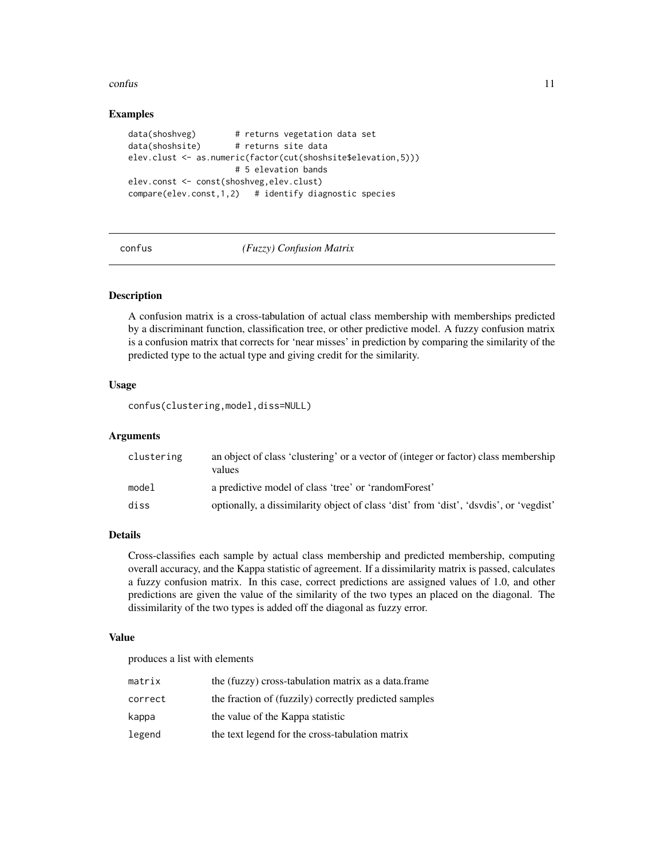#### <span id="page-10-0"></span>confus to the contract of the contract of the contract of the contract of the contract of the contract of the contract of the contract of the contract of the contract of the contract of the contract of the contract of the

# Examples

```
data(shoshveg) # returns vegetation data set
data(shoshsite) # returns site data
elev.clust <- as.numeric(factor(cut(shoshsite$elevation,5)))
                    # 5 elevation bands
elev.const <- const(shoshveg,elev.clust)
compare(elev.config,1,2) # identify diagnostic species
```
#### confus *(Fuzzy) Confusion Matrix*

# Description

A confusion matrix is a cross-tabulation of actual class membership with memberships predicted by a discriminant function, classification tree, or other predictive model. A fuzzy confusion matrix is a confusion matrix that corrects for 'near misses' in prediction by comparing the similarity of the predicted type to the actual type and giving credit for the similarity.

#### Usage

```
confus(clustering,model,diss=NULL)
```
# Arguments

| clustering | an object of class 'clustering' or a vector of (integer or factor) class membership<br>values |
|------------|-----------------------------------------------------------------------------------------------|
| model      | a predictive model of class 'tree' or 'randomForest'                                          |
| diss       | optionally, a dissimilarity object of class 'dist' from 'dist', 'dsvdis', or 'vegdist'        |

# Details

Cross-classifies each sample by actual class membership and predicted membership, computing overall accuracy, and the Kappa statistic of agreement. If a dissimilarity matrix is passed, calculates a fuzzy confusion matrix. In this case, correct predictions are assigned values of 1.0, and other predictions are given the value of the similarity of the two types an placed on the diagonal. The dissimilarity of the two types is added off the diagonal as fuzzy error.

#### Value

produces a list with elements

| matrix  | the (fuzzy) cross-tabulation matrix as a data.frame   |
|---------|-------------------------------------------------------|
| correct | the fraction of (fuzzily) correctly predicted samples |
| kappa   | the value of the Kappa statistic                      |
| legend  | the text legend for the cross-tabulation matrix       |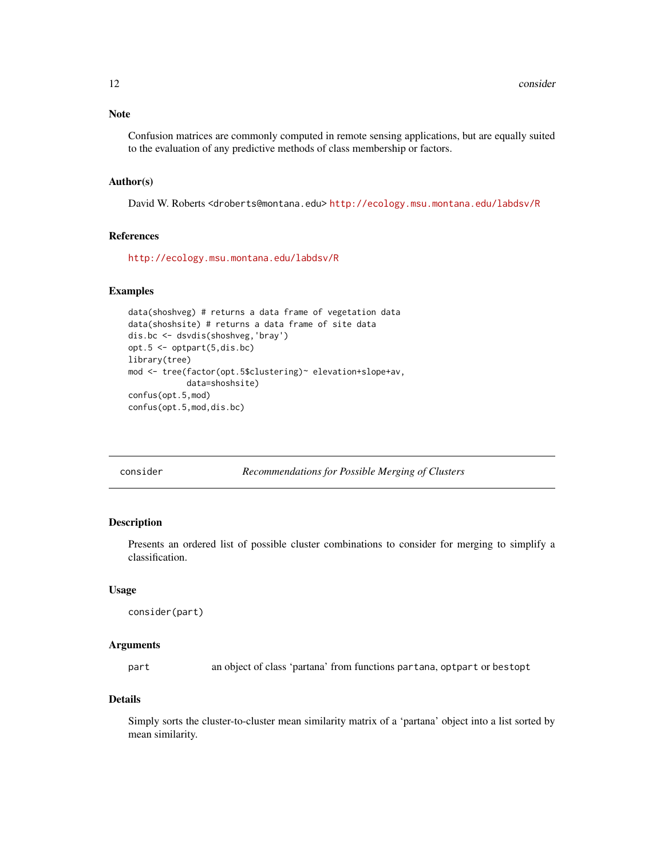#### <span id="page-11-0"></span>Note

Confusion matrices are commonly computed in remote sensing applications, but are equally suited to the evaluation of any predictive methods of class membership or factors.

#### Author(s)

David W. Roberts <droberts@montana.edu> <http://ecology.msu.montana.edu/labdsv/R>

# References

<http://ecology.msu.montana.edu/labdsv/R>

#### Examples

```
data(shoshveg) # returns a data frame of vegetation data
data(shoshsite) # returns a data frame of site data
dis.bc <- dsvdis(shoshveg,'bray')
opt.5 <- optpart(5,dis.bc)
library(tree)
mod <- tree(factor(opt.5$clustering)~ elevation+slope+av,
            data=shoshsite)
confus(opt.5,mod)
confus(opt.5,mod,dis.bc)
```
consider *Recommendations for Possible Merging of Clusters*

#### Description

Presents an ordered list of possible cluster combinations to consider for merging to simplify a classification.

# Usage

```
consider(part)
```
# Arguments

part an object of class 'partana' from functions partana, optpart or bestopt

# Details

Simply sorts the cluster-to-cluster mean similarity matrix of a 'partana' object into a list sorted by mean similarity.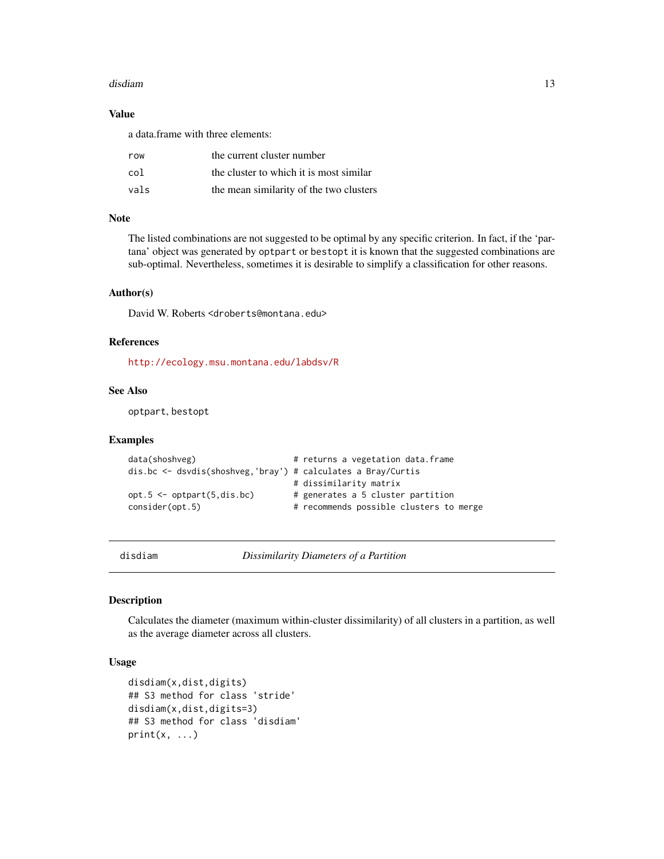#### <span id="page-12-0"></span>disdiam and the contract of the contract of the contract of the contract of the contract of the contract of the contract of the contract of the contract of the contract of the contract of the contract of the contract of th

# Value

a data.frame with three elements:

| row  | the current cluster number              |
|------|-----------------------------------------|
| col  | the cluster to which it is most similar |
| vals | the mean similarity of the two clusters |

#### Note

The listed combinations are not suggested to be optimal by any specific criterion. In fact, if the 'partana' object was generated by optpart or bestopt it is known that the suggested combinations are sub-optimal. Nevertheless, sometimes it is desirable to simplify a classification for other reasons.

#### Author(s)

David W. Roberts <droberts@montana.edu>

# References

<http://ecology.msu.montana.edu/labdsv/R>

#### See Also

optpart, bestopt

#### Examples

```
data(shoshveg) \qquad \qquad \qquad \text{# returns a vegetation data-frame}dis.bc <- dsvdis(shoshveg,'bray') # calculates a Bray/Curtis
                                # dissimilarity matrix
opt.5 \leq optpart(5,dis.bc) # generates a 5 cluster partition
consider(opt.5) # recommends possible clusters to merge
```
disdiam *Dissimilarity Diameters of a Partition*

#### Description

Calculates the diameter (maximum within-cluster dissimilarity) of all clusters in a partition, as well as the average diameter across all clusters.

# Usage

```
disdiam(x,dist,digits)
## S3 method for class 'stride'
disdiam(x,dist,digits=3)
## S3 method for class 'disdiam'
print(x, \ldots)
```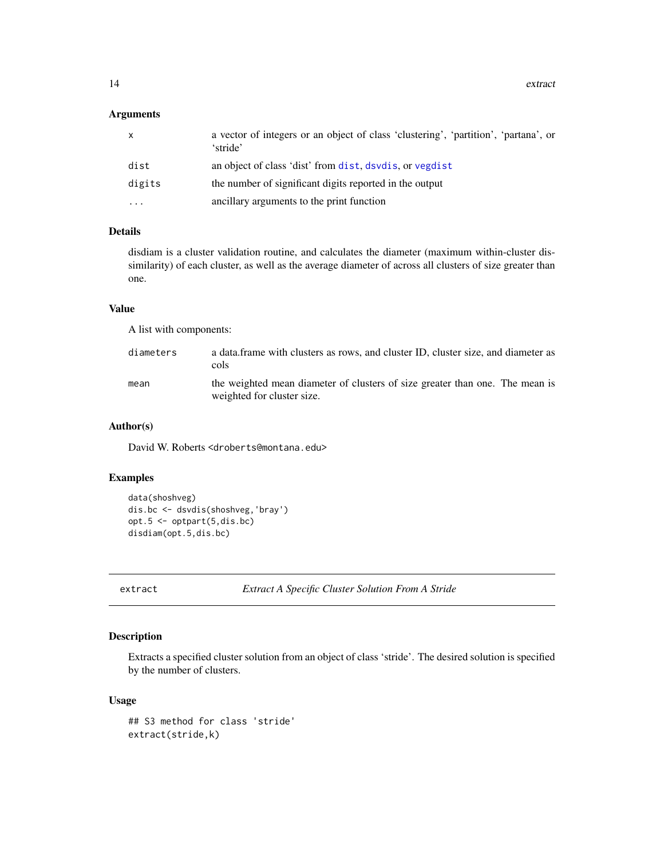# <span id="page-13-0"></span>Arguments

| X      | a vector of integers or an object of class 'clustering', 'partition', 'partana', or<br>'stride' |
|--------|-------------------------------------------------------------------------------------------------|
| dist   | an object of class 'dist' from dist, dsvdis, or vegdist                                         |
| digits | the number of significant digits reported in the output                                         |
| .      | ancillary arguments to the print function                                                       |

# Details

disdiam is a cluster validation routine, and calculates the diameter (maximum within-cluster dissimilarity) of each cluster, as well as the average diameter of across all clusters of size greater than one.

#### Value

A list with components:

| diameters | a data frame with clusters as rows, and cluster ID, cluster size, and diameter as<br>cols                  |
|-----------|------------------------------------------------------------------------------------------------------------|
| mean      | the weighted mean diameter of clusters of size greater than one. The mean is<br>weighted for cluster size. |

# Author(s)

David W. Roberts <droberts@montana.edu>

# Examples

```
data(shoshveg)
dis.bc <- dsvdis(shoshveg,'bray')
opt.5 <- optpart(5,dis.bc)
disdiam(opt.5,dis.bc)
```
extract *Extract A Specific Cluster Solution From A Stride*

# Description

Extracts a specified cluster solution from an object of class 'stride'. The desired solution is specified by the number of clusters.

#### Usage

```
## S3 method for class 'stride'
extract(stride,k)
```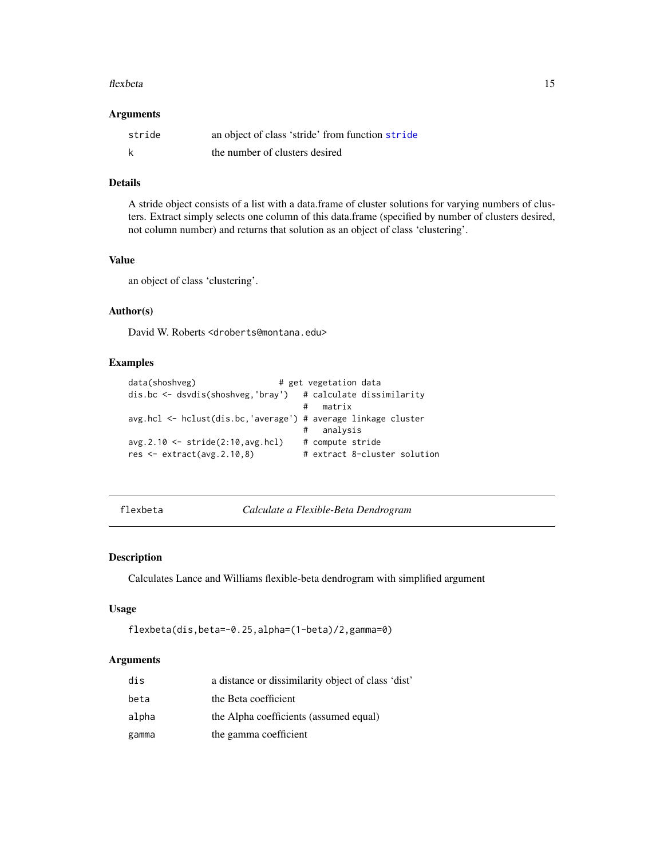#### <span id="page-14-0"></span>flexbeta 15

#### Arguments

| stride | an object of class 'stride' from function stride |
|--------|--------------------------------------------------|
|        | the number of clusters desired                   |

# Details

A stride object consists of a list with a data.frame of cluster solutions for varying numbers of clusters. Extract simply selects one column of this data.frame (specified by number of clusters desired, not column number) and returns that solution as an object of class 'clustering'.

#### Value

an object of class 'clustering'.

# Author(s)

David W. Roberts <droberts@montana.edu>

#### Examples

```
data(shoshveg) \qquad # get vegetation data
dis.bc <- dsvdis(shoshveg,'bray') # calculate dissimilarity
                                 # matrix
avg.hcl <- hclust(dis.bc,'average') # average linkage cluster
                                 # analysis
avg.2.10 \leq state(2:10,avg.hcl) # compute stride
res <- extract(avg.2.10,8) # extract 8-cluster solution
```
flexbeta *Calculate a Flexible-Beta Dendrogram*

#### Description

Calculates Lance and Williams flexible-beta dendrogram with simplified argument

#### Usage

```
flexbeta(dis,beta=-0.25,alpha=(1-beta)/2,gamma=0)
```

| dis   | a distance or dissimilarity object of class 'dist' |
|-------|----------------------------------------------------|
| beta  | the Beta coefficient                               |
| alpha | the Alpha coefficients (assumed equal)             |
| gamma | the gamma coefficient                              |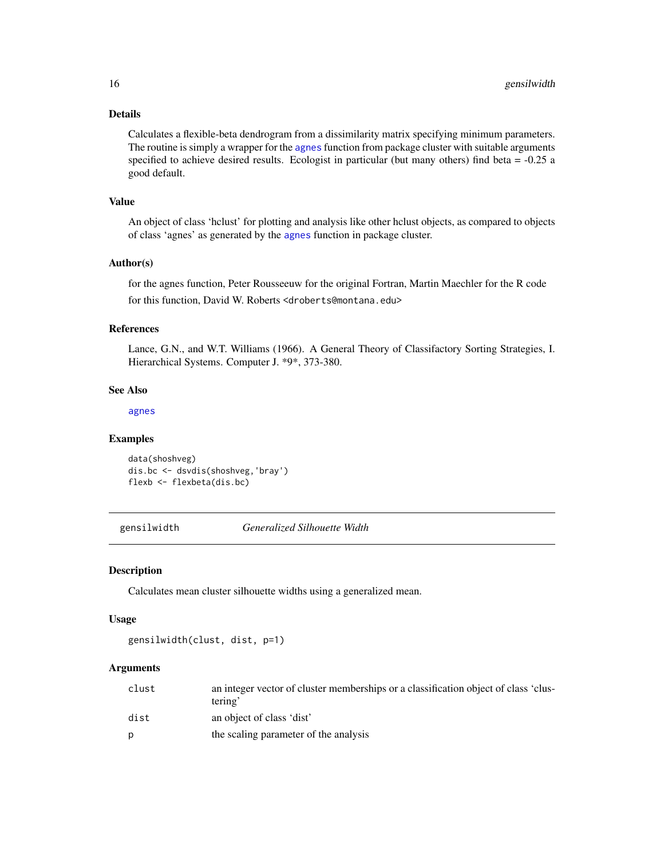# <span id="page-15-0"></span>Details

Calculates a flexible-beta dendrogram from a dissimilarity matrix specifying minimum parameters. The routine is simply a wrapper for the [agnes](#page-0-0) function from package cluster with suitable arguments specified to achieve desired results. Ecologist in particular (but many others) find beta  $= -0.25$  a good default.

#### Value

An object of class 'hclust' for plotting and analysis like other hclust objects, as compared to objects of class 'agnes' as generated by the [agnes](#page-0-0) function in package cluster.

#### Author(s)

for the agnes function, Peter Rousseeuw for the original Fortran, Martin Maechler for the R code for this function, David W. Roberts <droberts@montana.edu>

# References

Lance, G.N., and W.T. Williams (1966). A General Theory of Classifactory Sorting Strategies, I. Hierarchical Systems. Computer J. \*9\*, 373-380.

#### See Also

[agnes](#page-0-0)

#### Examples

```
data(shoshveg)
dis.bc <- dsvdis(shoshveg,'bray')
flexb <- flexbeta(dis.bc)
```
gensilwidth *Generalized Silhouette Width*

#### Description

Calculates mean cluster silhouette widths using a generalized mean.

# Usage

gensilwidth(clust, dist, p=1)

| clust | an integer vector of cluster memberships or a classification object of class 'clus- |
|-------|-------------------------------------------------------------------------------------|
|       | tering'                                                                             |
| dist  | an object of class 'dist'                                                           |
| D     | the scaling parameter of the analysis                                               |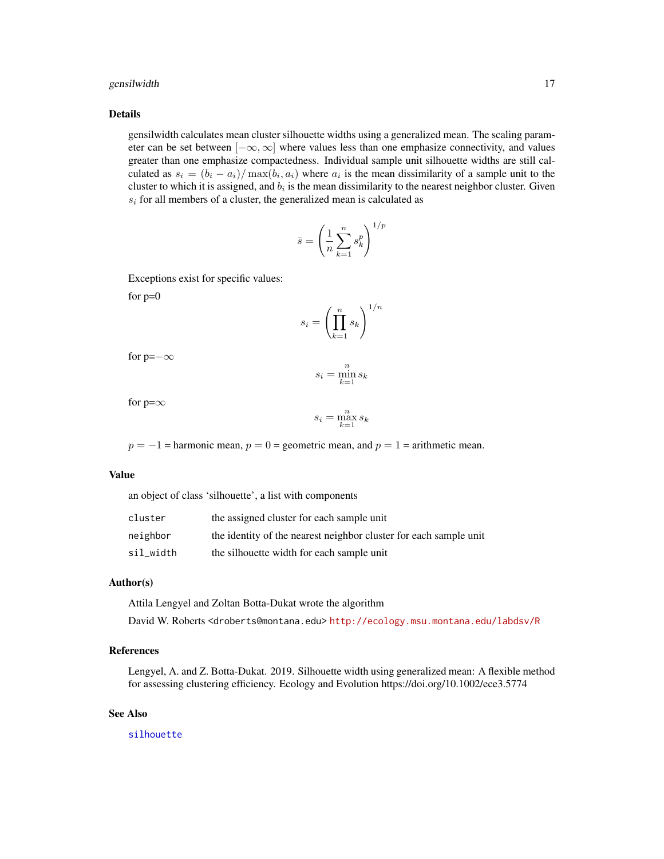# <span id="page-16-0"></span>gensilwidth 17

# Details

gensilwidth calculates mean cluster silhouette widths using a generalized mean. The scaling parameter can be set between  $[-\infty, \infty]$  where values less than one emphasize connectivity, and values greater than one emphasize compactedness. Individual sample unit silhouette widths are still calculated as  $s_i = (b_i - a_i) / \max(b_i, a_i)$  where  $a_i$  is the mean dissimilarity of a sample unit to the cluster to which it is assigned, and  $b_i$  is the mean dissimilarity to the nearest neighbor cluster. Given  $s_i$  for all members of a cluster, the generalized mean is calculated as

$$
\bar{s} = \left(\frac{1}{n} \sum_{k=1}^{n} s_k^p\right)^{1/p}
$$

Exceptions exist for specific values:

for  $p=0$ 

$$
s_i = \left(\prod_{k=1}^n s_k\right)^{1/n}
$$

for  $p=-\infty$ 

$$
s_i = \min_{k=1}^n s_k
$$

for  $p=\infty$ 

$$
s_i = \max_{k=1}^n s_k
$$

 $p = -1$  = harmonic mean,  $p = 0$  = geometric mean, and  $p = 1$  = arithmetic mean.

#### Value

an object of class 'silhouette', a list with components

| cluster   | the assigned cluster for each sample unit                         |
|-----------|-------------------------------------------------------------------|
| neighbor  | the identity of the nearest neighbor cluster for each sample unit |
| sil width | the silhouette width for each sample unit                         |

### Author(s)

Attila Lengyel and Zoltan Botta-Dukat wrote the algorithm

David W. Roberts <droberts@montana.edu> <http://ecology.msu.montana.edu/labdsv/R>

# References

Lengyel, A. and Z. Botta-Dukat. 2019. Silhouette width using generalized mean: A flexible method for assessing clustering efficiency. Ecology and Evolution https://doi.org/10.1002/ece3.5774

# See Also

[silhouette](#page-0-0)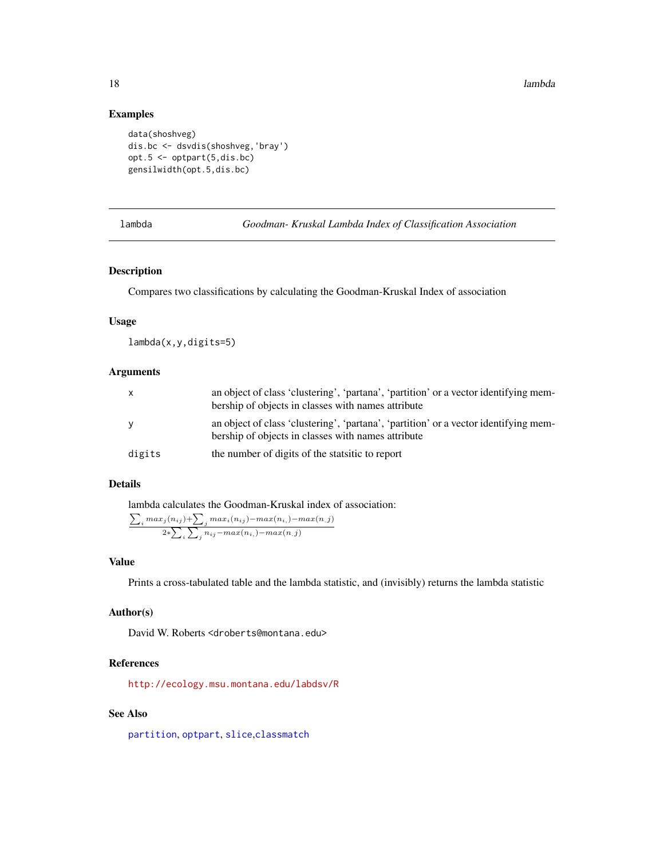# <span id="page-17-0"></span>Examples

```
data(shoshveg)
dis.bc <- dsvdis(shoshveg,'bray')
opt.5 <- optpart(5,dis.bc)
gensilwidth(opt.5,dis.bc)
```
lambda *Goodman- Kruskal Lambda Index of Classification Association*

# Description

Compares two classifications by calculating the Goodman-Kruskal Index of association

# Usage

lambda(x,y,digits=5)

# Arguments

| X.     | an object of class 'clustering', 'partana', 'partition' or a vector identifying mem-<br>bership of objects in classes with names attribute |
|--------|--------------------------------------------------------------------------------------------------------------------------------------------|
| V      | an object of class 'clustering', 'partana', 'partition' or a vector identifying mem-<br>bership of objects in classes with names attribute |
| digits | the number of digits of the statsitic to report                                                                                            |

# Details

lambda calculates the Goodman-Kruskal index of association:

$$
\frac{\sum_{i} max_j(n_{ij}) + \sum_{j} max_i(n_{ij}) - max(n_{i,j}) - max(n,j)}{2 * \sum_{i} \sum_{j} n_{ij} - max(n_{i,j}) - max(n,j)}
$$

# Value

Prints a cross-tabulated table and the lambda statistic, and (invisibly) returns the lambda statistic

# Author(s)

David W. Roberts <droberts@montana.edu>

# References

<http://ecology.msu.montana.edu/labdsv/R>

# See Also

[partition](#page-32-1), [optpart](#page-26-1), [slice](#page-40-1),[classmatch](#page-4-1)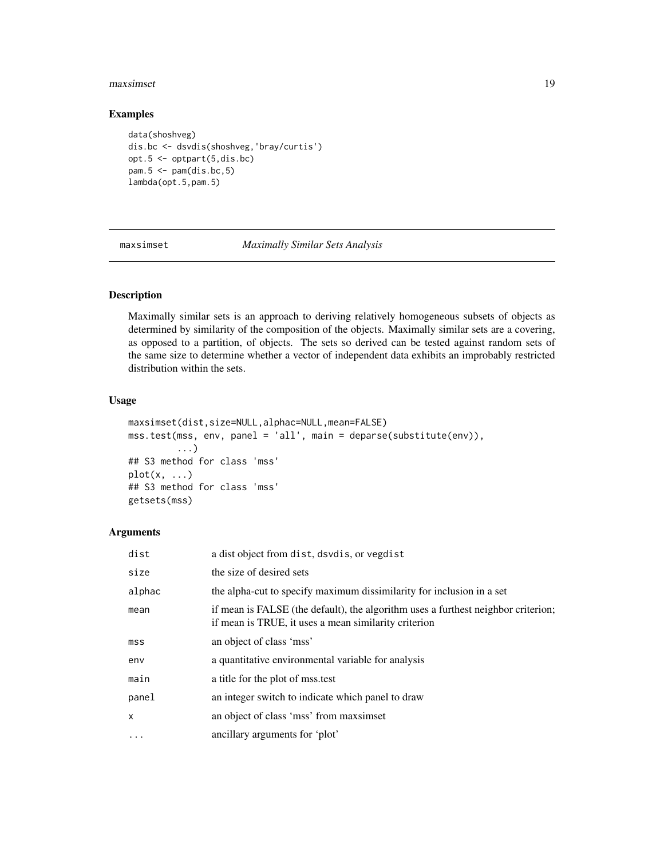#### <span id="page-18-0"></span>maxsimset the contract of the contract of the contract of the contract of the contract of the contract of the contract of the contract of the contract of the contract of the contract of the contract of the contract of the

#### Examples

```
data(shoshveg)
dis.bc <- dsvdis(shoshveg,'bray/curtis')
opt.5 <- optpart(5,dis.bc)
pam.5 <- pam(dis.bc,5)
lambda(opt.5,pam.5)
```
maxsimset *Maximally Similar Sets Analysis*

# <span id="page-18-1"></span>Description

Maximally similar sets is an approach to deriving relatively homogeneous subsets of objects as determined by similarity of the composition of the objects. Maximally similar sets are a covering, as opposed to a partition, of objects. The sets so derived can be tested against random sets of the same size to determine whether a vector of independent data exhibits an improbably restricted distribution within the sets.

# Usage

```
maxsimset(dist,size=NULL,alphac=NULL,mean=FALSE)
mss.test(mss, env, panel = 'all', main = deparse(substitute(env)),
         ...)
## S3 method for class 'mss'
plot(x, \ldots)## S3 method for class 'mss'
getsets(mss)
```

| dist            | a dist object from dist, dsvdis, or vegdist                                                                                               |
|-----------------|-------------------------------------------------------------------------------------------------------------------------------------------|
| size            | the size of desired sets                                                                                                                  |
| alphac          | the alpha-cut to specify maximum dissimilarity for inclusion in a set                                                                     |
| mean            | if mean is FALSE (the default), the algorithm uses a furthest neighbor criterion;<br>if mean is TRUE, it uses a mean similarity criterion |
| ms <sub>S</sub> | an object of class 'mss'                                                                                                                  |
| env             | a quantitative environmental variable for analysis                                                                                        |
| main            | a title for the plot of mss.test                                                                                                          |
| panel           | an integer switch to indicate which panel to draw                                                                                         |
| X               | an object of class 'mss' from maxsimset                                                                                                   |
| $\cdots$        | ancillary arguments for 'plot'                                                                                                            |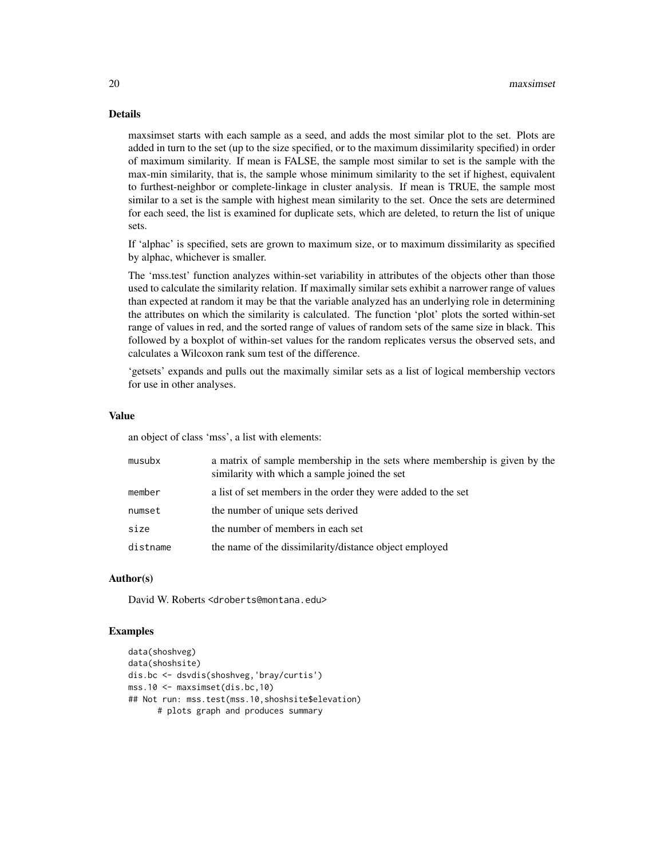#### 20 maxsimset

#### Details

maxsimset starts with each sample as a seed, and adds the most similar plot to the set. Plots are added in turn to the set (up to the size specified, or to the maximum dissimilarity specified) in order of maximum similarity. If mean is FALSE, the sample most similar to set is the sample with the max-min similarity, that is, the sample whose minimum similarity to the set if highest, equivalent to furthest-neighbor or complete-linkage in cluster analysis. If mean is TRUE, the sample most similar to a set is the sample with highest mean similarity to the set. Once the sets are determined for each seed, the list is examined for duplicate sets, which are deleted, to return the list of unique sets.

If 'alphac' is specified, sets are grown to maximum size, or to maximum dissimilarity as specified by alphac, whichever is smaller.

The 'mss.test' function analyzes within-set variability in attributes of the objects other than those used to calculate the similarity relation. If maximally similar sets exhibit a narrower range of values than expected at random it may be that the variable analyzed has an underlying role in determining the attributes on which the similarity is calculated. The function 'plot' plots the sorted within-set range of values in red, and the sorted range of values of random sets of the same size in black. This followed by a boxplot of within-set values for the random replicates versus the observed sets, and calculates a Wilcoxon rank sum test of the difference.

'getsets' expands and pulls out the maximally similar sets as a list of logical membership vectors for use in other analyses.

#### Value

an object of class 'mss', a list with elements:

| a matrix of sample membership in the sets where membership is given by the<br>similarity with which a sample joined the set |
|-----------------------------------------------------------------------------------------------------------------------------|
| a list of set members in the order they were added to the set                                                               |
| the number of unique sets derived                                                                                           |
| the number of members in each set                                                                                           |
| the name of the dissimilarity/distance object employed                                                                      |
|                                                                                                                             |

#### Author(s)

David W. Roberts <droberts@montana.edu>

#### Examples

```
data(shoshveg)
data(shoshsite)
dis.bc <- dsvdis(shoshveg,'bray/curtis')
mss.10 <- maxsimset(dis.bc,10)
## Not run: mss.test(mss.10,shoshsite$elevation)
      # plots graph and produces summary
```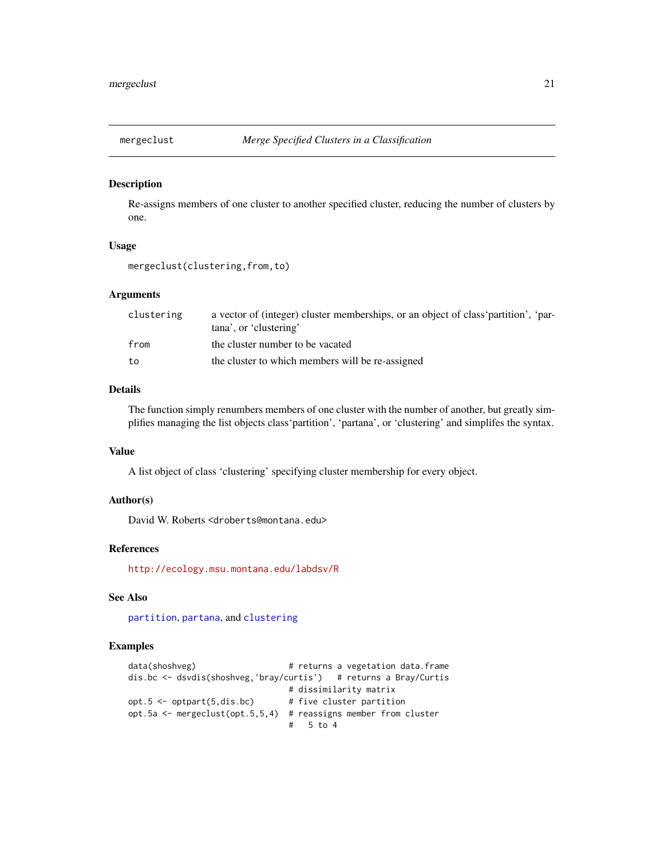<span id="page-20-0"></span>

#### Description

Re-assigns members of one cluster to another specified cluster, reducing the number of clusters by one.

# Usage

```
mergeclust(clustering,from,to)
```
### Arguments

| clustering | a vector of (integer) cluster memberships, or an object of class partition', par-<br>tana', or 'clustering' |
|------------|-------------------------------------------------------------------------------------------------------------|
| from       | the cluster number to be vacated                                                                            |
| to         | the cluster to which members will be re-assigned                                                            |

#### Details

The function simply renumbers members of one cluster with the number of another, but greatly simplifies managing the list objects class'partition', 'partana', or 'clustering' and simplifes the syntax.

#### Value

A list object of class 'clustering' specifying cluster membership for every object.

#### Author(s)

David W. Roberts <droberts@montana.edu>

# References

<http://ecology.msu.montana.edu/labdsv/R>

# See Also

[partition](#page-32-1), [partana](#page-31-1), and [clustering](#page-8-1)

#### Examples

```
data(shoshveg) \qquad \qquad \qquad \text{# returns a vegetation data.} frame
dis.bc <- dsvdis(shoshveg,'bray/curtis') # returns a Bray/Curtis
                                 # dissimilarity matrix
opt.5 \leq optpart(5,dis.bc) # five cluster partition
opt.5a <- mergeclust(opt.5,5,4) # reassigns member from cluster
                                 # 5 to 4
```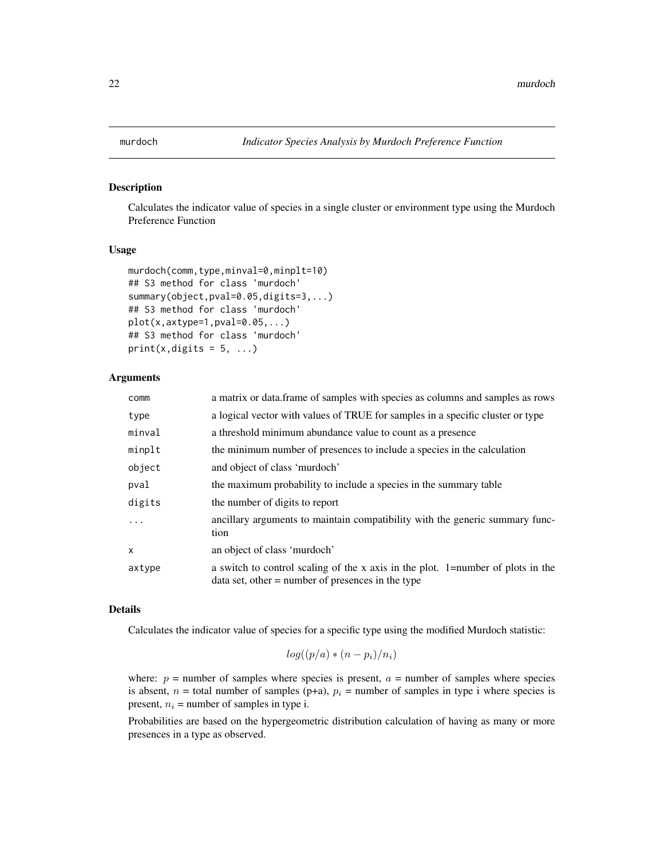#### Description

Calculates the indicator value of species in a single cluster or environment type using the Murdoch Preference Function

# Usage

```
murdoch(comm,type,minval=0,minplt=10)
## S3 method for class 'murdoch'
summary(object,pval=0.05,digits=3,...)
## S3 method for class 'murdoch'
plot(x,axype=1,pval=0.05,...)## S3 method for class 'murdoch'
print(x, digits = 5, ...)
```
# **Arguments**

| comm     | a matrix or data. frame of samples with species as columns and samples as rows                                                          |
|----------|-----------------------------------------------------------------------------------------------------------------------------------------|
| type     | a logical vector with values of TRUE for samples in a specific cluster or type                                                          |
| minval   | a threshold minimum abundance value to count as a presence                                                                              |
| minplt   | the minimum number of presences to include a species in the calculation                                                                 |
| object   | and object of class 'murdoch'                                                                                                           |
| pval     | the maximum probability to include a species in the summary table                                                                       |
| digits   | the number of digits to report                                                                                                          |
| $\ddots$ | ancillary arguments to maintain compatibility with the generic summary func-<br>tion                                                    |
| x        | an object of class 'murdoch'                                                                                                            |
| axtype   | a switch to control scaling of the x axis in the plot. 1=number of plots in the<br>$data set$ , other = number of presences in the type |

#### Details

Calculates the indicator value of species for a specific type using the modified Murdoch statistic:

$$
log((p/a) * (n - p_i)/n_i)
$$

where:  $p =$  number of samples where species is present,  $a =$  number of samples where species is absent,  $n =$  total number of samples (p+a),  $p_i =$  number of samples in type i where species is present,  $n_i$  = number of samples in type i.

Probabilities are based on the hypergeometric distribution calculation of having as many or more presences in a type as observed.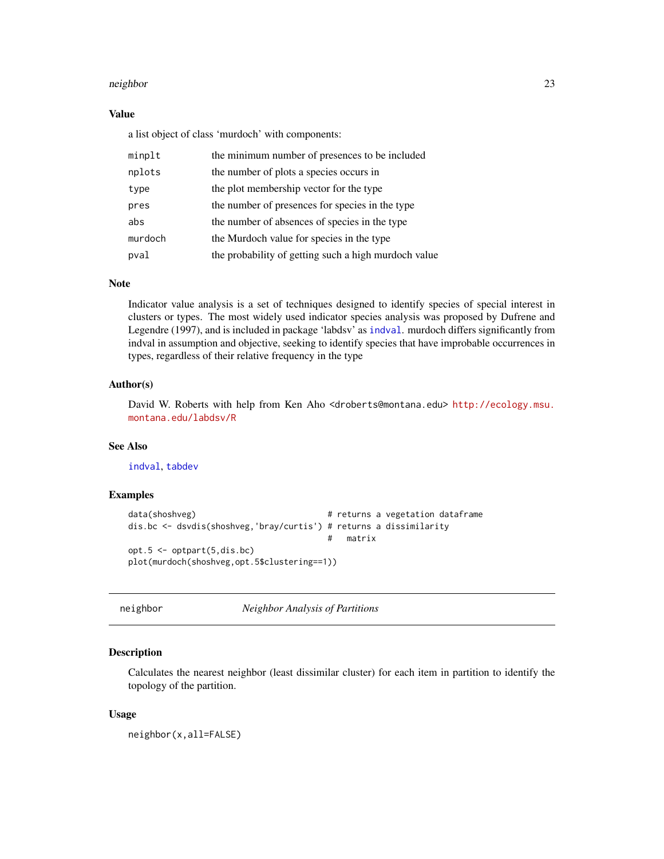#### <span id="page-22-0"></span>neighbor 23

# Value

a list object of class 'murdoch' with components:

| minplt  | the minimum number of presences to be included       |
|---------|------------------------------------------------------|
| nplots  | the number of plots a species occurs in              |
| type    | the plot membership vector for the type              |
| pres    | the number of presences for species in the type      |
| abs     | the number of absences of species in the type        |
| murdoch | the Murdoch value for species in the type            |
| pval    | the probability of getting such a high murdoch value |

#### Note

Indicator value analysis is a set of techniques designed to identify species of special interest in clusters or types. The most widely used indicator species analysis was proposed by Dufrene and Legendre (1997), and is included in package 'labdsv' as [indval](#page-0-0). murdoch differs significantly from indval in assumption and objective, seeking to identify species that have improbable occurrences in types, regardless of their relative frequency in the type

# Author(s)

David W. Roberts with help from Ken Aho <droberts@montana.edu> [http://ecology.msu.](http://ecology.msu.montana.edu/labdsv/R) [montana.edu/labdsv/R](http://ecology.msu.montana.edu/labdsv/R)

# See Also

[indval](#page-0-0), [tabdev](#page-42-1)

#### Examples

```
data(shoshveg) # returns a vegetation dataframe
dis.bc <- dsvdis(shoshveg,'bray/curtis') # returns a dissimilarity
                                    # matrix
opt.5 <- optpart(5,dis.bc)
plot(murdoch(shoshveg,opt.5$clustering==1))
```
neighbor *Neighbor Analysis of Partitions*

#### **Description**

Calculates the nearest neighbor (least dissimilar cluster) for each item in partition to identify the topology of the partition.

#### Usage

neighbor(x,all=FALSE)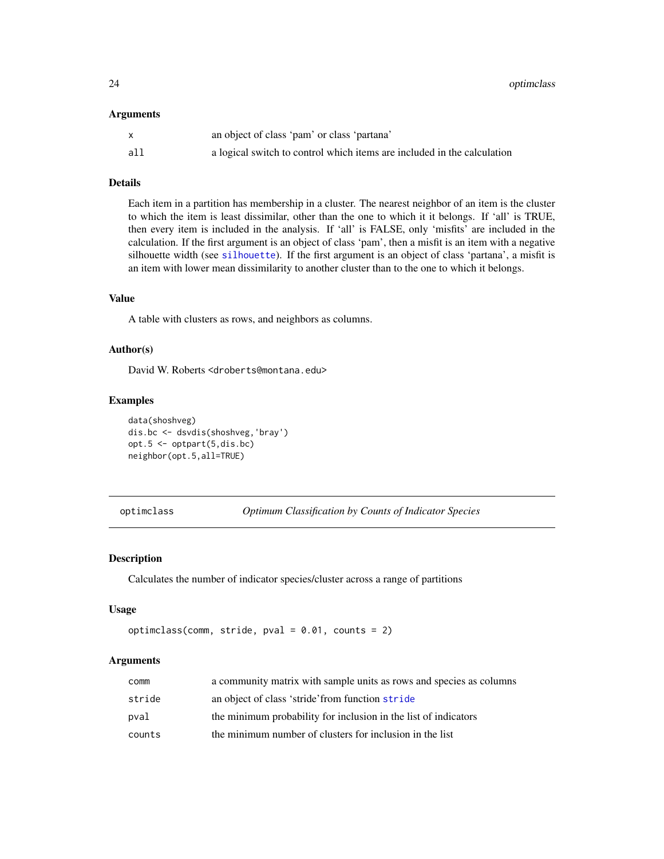#### <span id="page-23-0"></span>Arguments

|     | an object of class 'pam' or class 'partana'                             |
|-----|-------------------------------------------------------------------------|
| all | a logical switch to control which items are included in the calculation |

# Details

Each item in a partition has membership in a cluster. The nearest neighbor of an item is the cluster to which the item is least dissimilar, other than the one to which it it belongs. If 'all' is TRUE, then every item is included in the analysis. If 'all' is FALSE, only 'misfits' are included in the calculation. If the first argument is an object of class 'pam', then a misfit is an item with a negative silhouette width (see [silhouette](#page-0-0)). If the first argument is an object of class 'partana', a misfit is an item with lower mean dissimilarity to another cluster than to the one to which it belongs.

# Value

A table with clusters as rows, and neighbors as columns.

# Author(s)

David W. Roberts <droberts@montana.edu>

# Examples

```
data(shoshveg)
dis.bc <- dsvdis(shoshveg,'bray')
opt.5 <- optpart(5,dis.bc)
neighbor(opt.5,all=TRUE)
```
#### optimclass *Optimum Classification by Counts of Indicator Species*

# Description

Calculates the number of indicator species/cluster across a range of partitions

#### Usage

```
optimclass(comm, stride, pval = 0.01, counts = 2)
```

| comm   | a community matrix with sample units as rows and species as columns |
|--------|---------------------------------------------------------------------|
| stride | an object of class 'stride' from function stride                    |
| pval   | the minimum probability for inclusion in the list of indicators     |
| counts | the minimum number of clusters for inclusion in the list            |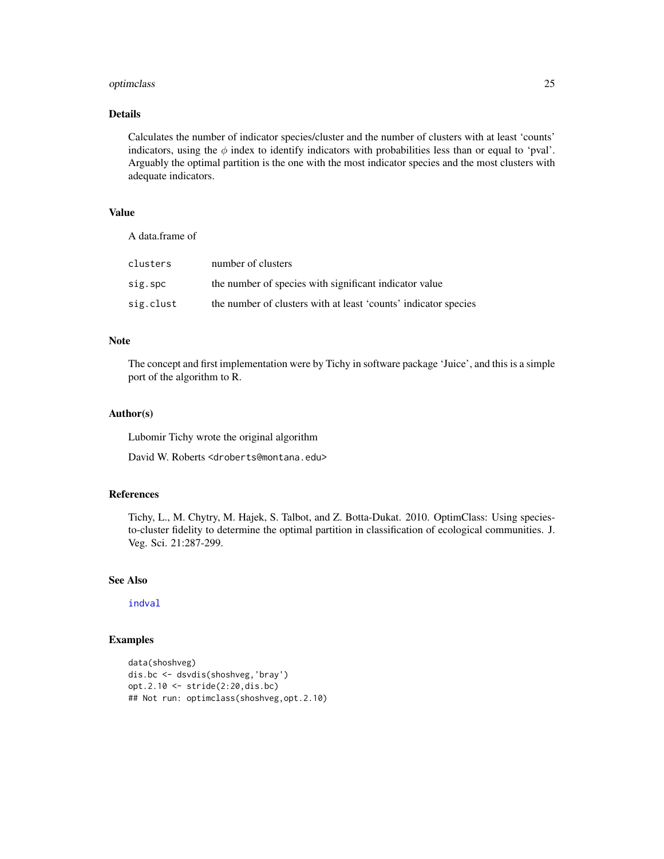# <span id="page-24-0"></span>optimclass 25

# Details

Calculates the number of indicator species/cluster and the number of clusters with at least 'counts' indicators, using the  $\phi$  index to identify indicators with probabilities less than or equal to 'pval'. Arguably the optimal partition is the one with the most indicator species and the most clusters with adequate indicators.

# Value

A data.frame of

| clusters  | number of clusters                                              |
|-----------|-----------------------------------------------------------------|
| sig.spc   | the number of species with significant indicator value          |
| sig.clust | the number of clusters with at least 'counts' indicator species |

# Note

The concept and first implementation were by Tichy in software package 'Juice', and this is a simple port of the algorithm to R.

#### Author(s)

Lubomir Tichy wrote the original algorithm

David W. Roberts <droberts@montana.edu>

# References

Tichy, L., M. Chytry, M. Hajek, S. Talbot, and Z. Botta-Dukat. 2010. OptimClass: Using speciesto-cluster fidelity to determine the optimal partition in classification of ecological communities. J. Veg. Sci. 21:287-299.

# See Also

[indval](#page-0-0)

# Examples

```
data(shoshveg)
dis.bc <- dsvdis(shoshveg,'bray')
opt.2.10 <- stride(2:20,dis.bc)
## Not run: optimclass(shoshveg,opt.2.10)
```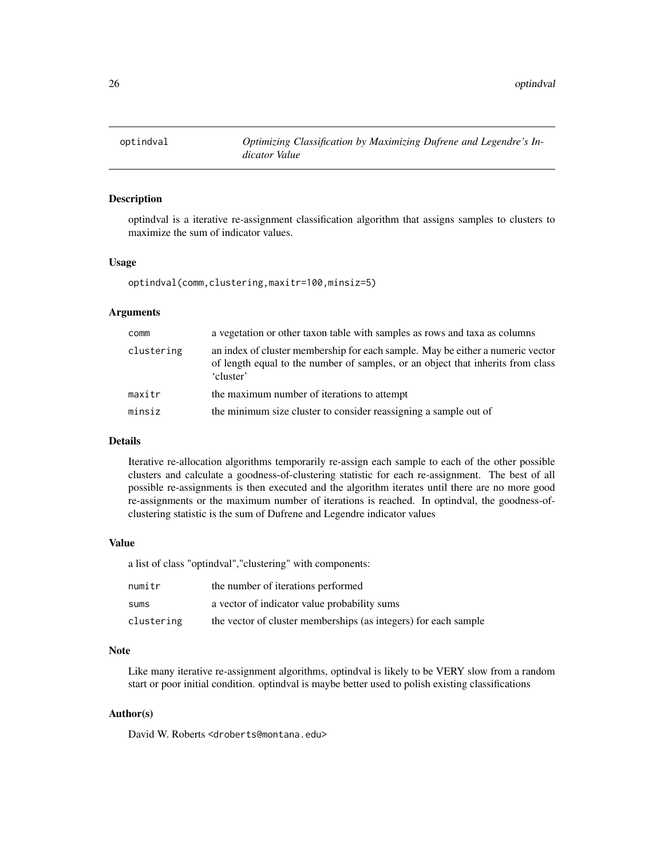<span id="page-25-1"></span><span id="page-25-0"></span>

# Description

optindval is a iterative re-assignment classification algorithm that assigns samples to clusters to maximize the sum of indicator values.

# Usage

optindval(comm,clustering,maxitr=100,minsiz=5)

# Arguments

| comm       | a vegetation or other taxon table with samples as rows and taxa as columns                                                                                                     |
|------------|--------------------------------------------------------------------------------------------------------------------------------------------------------------------------------|
| clustering | an index of cluster membership for each sample. May be either a numeric vector<br>of length equal to the number of samples, or an object that inherits from class<br>'cluster' |
| maxitr     | the maximum number of iterations to attempt                                                                                                                                    |
| minsiz     | the minimum size cluster to consider reassigning a sample out of                                                                                                               |

# Details

Iterative re-allocation algorithms temporarily re-assign each sample to each of the other possible clusters and calculate a goodness-of-clustering statistic for each re-assignment. The best of all possible re-assignments is then executed and the algorithm iterates until there are no more good re-assignments or the maximum number of iterations is reached. In optindval, the goodness-ofclustering statistic is the sum of Dufrene and Legendre indicator values

# Value

a list of class "optindval","clustering" with components:

| numitr     | the number of iterations performed                              |
|------------|-----------------------------------------------------------------|
| sums       | a vector of indicator value probability sums                    |
| clustering | the vector of cluster memberships (as integers) for each sample |

# Note

Like many iterative re-assignment algorithms, optindval is likely to be VERY slow from a random start or poor initial condition. optindval is maybe better used to polish existing classifications

#### Author(s)

David W. Roberts <droberts@montana.edu>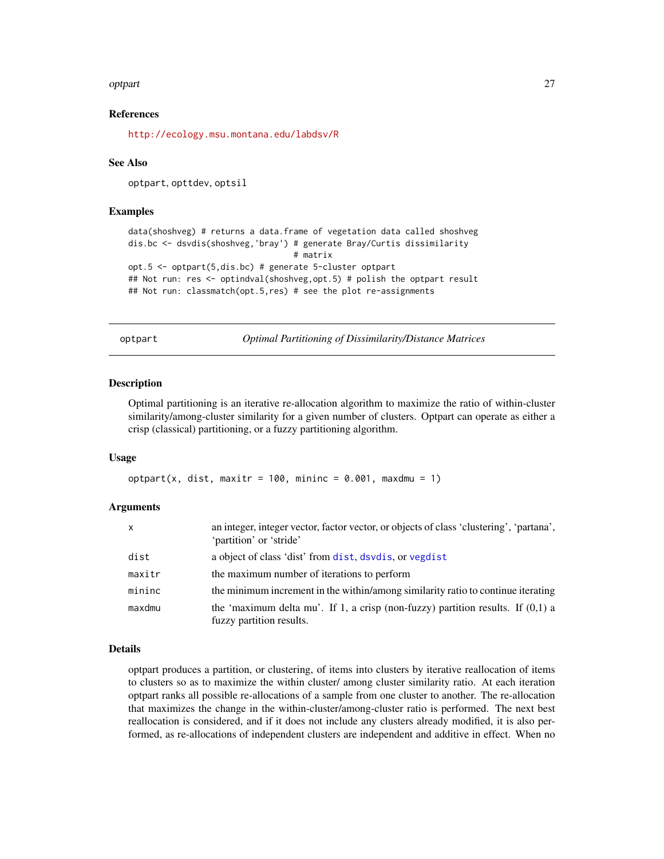#### <span id="page-26-0"></span>optpart 27

# References

<http://ecology.msu.montana.edu/labdsv/R>

#### See Also

optpart, opttdev, optsil

#### Examples

```
data(shoshveg) # returns a data.frame of vegetation data called shoshveg
dis.bc <- dsvdis(shoshveg,'bray') # generate Bray/Curtis dissimilarity
                                  # matrix
opt.5 <- optpart(5,dis.bc) # generate 5-cluster optpart
## Not run: res <- optindval(shoshveg,opt.5) # polish the optpart result
## Not run: classmatch(opt.5, res) # see the plot re-assignments
```
<span id="page-26-1"></span>optpart *Optimal Partitioning of Dissimilarity/Distance Matrices*

#### **Description**

Optimal partitioning is an iterative re-allocation algorithm to maximize the ratio of within-cluster similarity/among-cluster similarity for a given number of clusters. Optpart can operate as either a crisp (classical) partitioning, or a fuzzy partitioning algorithm.

#### Usage

optpart(x, dist, maxitr = 100, mininc =  $0.001$ , maxdmu = 1)

#### Arguments

| $\mathsf{x}$ | an integer, integer vector, factor vector, or objects of class 'clustering', 'partana',<br>'partition' or 'stride' |
|--------------|--------------------------------------------------------------------------------------------------------------------|
| dist         | a object of class 'dist' from dist, dsvdis, or vegdist                                                             |
| maxitr       | the maximum number of iterations to perform                                                                        |
| mininc       | the minimum increment in the within/among similarity ratio to continue iterating                                   |
| maxdmu       | the 'maximum delta mu'. If 1, a crisp (non-fuzzy) partition results. If $(0,1)$ a<br>fuzzy partition results.      |

#### Details

optpart produces a partition, or clustering, of items into clusters by iterative reallocation of items to clusters so as to maximize the within cluster/ among cluster similarity ratio. At each iteration optpart ranks all possible re-allocations of a sample from one cluster to another. The re-allocation that maximizes the change in the within-cluster/among-cluster ratio is performed. The next best reallocation is considered, and if it does not include any clusters already modified, it is also performed, as re-allocations of independent clusters are independent and additive in effect. When no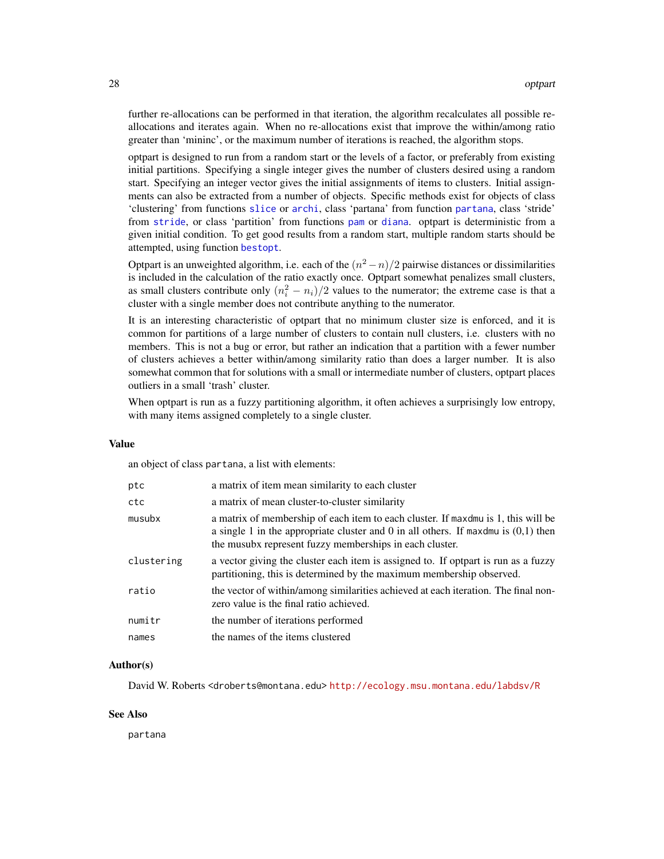<span id="page-27-0"></span>further re-allocations can be performed in that iteration, the algorithm recalculates all possible reallocations and iterates again. When no re-allocations exist that improve the within/among ratio greater than 'mininc', or the maximum number of iterations is reached, the algorithm stops.

optpart is designed to run from a random start or the levels of a factor, or preferably from existing initial partitions. Specifying a single integer gives the number of clusters desired using a random start. Specifying an integer vector gives the initial assignments of items to clusters. Initial assignments can also be extracted from a number of objects. Specific methods exist for objects of class 'clustering' from functions [slice](#page-40-1) or [archi](#page-1-1), class 'partana' from function [partana](#page-31-1), class 'stride' from [stride](#page-41-1), or class 'partition' from functions [pam](#page-0-0) or [diana](#page-0-0). optpart is deterministic from a given initial condition. To get good results from a random start, multiple random starts should be attempted, using function [bestopt](#page-3-1).

Optpart is an unweighted algorithm, i.e. each of the  $(n^2 - n)/2$  pairwise distances or dissimilarities is included in the calculation of the ratio exactly once. Optpart somewhat penalizes small clusters, as small clusters contribute only  $(n_i^2 - n_i)/2$  values to the numerator; the extreme case is that a cluster with a single member does not contribute anything to the numerator.

It is an interesting characteristic of optpart that no minimum cluster size is enforced, and it is common for partitions of a large number of clusters to contain null clusters, i.e. clusters with no members. This is not a bug or error, but rather an indication that a partition with a fewer number of clusters achieves a better within/among similarity ratio than does a larger number. It is also somewhat common that for solutions with a small or intermediate number of clusters, optpart places outliers in a small 'trash' cluster.

When optpart is run as a fuzzy partitioning algorithm, it often achieves a surprisingly low entropy, with many items assigned completely to a single cluster.

#### Value

an object of class partana, a list with elements:

| ptc        | a matrix of item mean similarity to each cluster                                                                                                                                                                                     |
|------------|--------------------------------------------------------------------------------------------------------------------------------------------------------------------------------------------------------------------------------------|
| ctc        | a matrix of mean cluster-to-cluster similarity                                                                                                                                                                                       |
| musubx     | a matrix of membership of each item to each cluster. If maxdmu is 1, this will be<br>a single 1 in the appropriate cluster and 0 in all others. If maxdmu is $(0,1)$ then<br>the musubx represent fuzzy memberships in each cluster. |
| clustering | a vector giving the cluster each item is assigned to. If optpart is run as a fuzzy<br>partitioning, this is determined by the maximum membership observed.                                                                           |
| ratio      | the vector of within/among similarities achieved at each iteration. The final non-<br>zero value is the final ratio achieved.                                                                                                        |
| numitr     | the number of iterations performed                                                                                                                                                                                                   |
| names      | the names of the items clustered                                                                                                                                                                                                     |
|            |                                                                                                                                                                                                                                      |

#### Author(s)

David W. Roberts <droberts@montana.edu> <http://ecology.msu.montana.edu/labdsv/R>

#### See Also

partana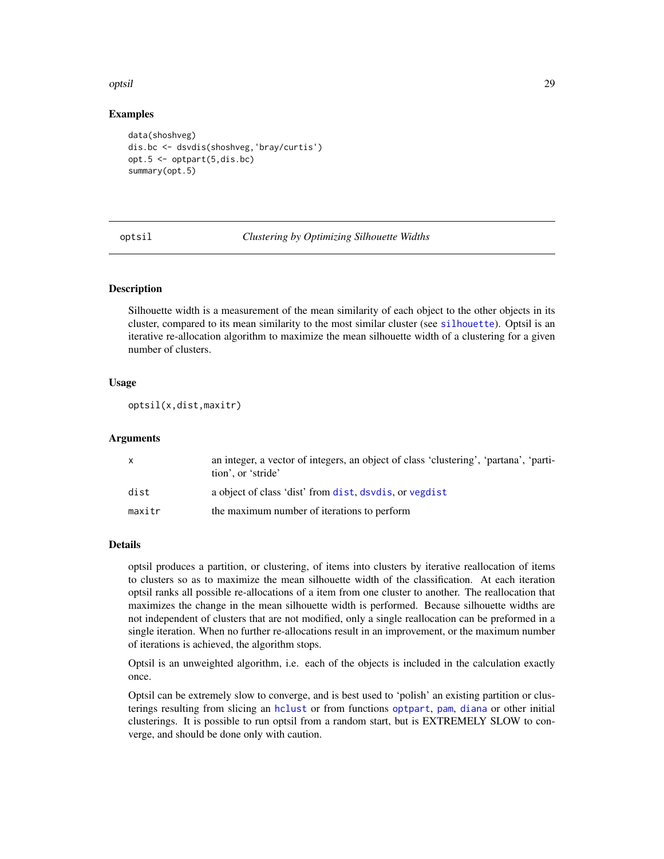#### <span id="page-28-0"></span>optsil 29

# Examples

```
data(shoshveg)
dis.bc <- dsvdis(shoshveg,'bray/curtis')
opt.5 <- optpart(5,dis.bc)
summary(opt.5)
```
<span id="page-28-1"></span>optsil *Clustering by Optimizing Silhouette Widths*

#### Description

Silhouette width is a measurement of the mean similarity of each object to the other objects in its cluster, compared to its mean similarity to the most similar cluster (see [silhouette](#page-0-0)). Optsil is an iterative re-allocation algorithm to maximize the mean silhouette width of a clustering for a given number of clusters.

#### Usage

optsil(x,dist,maxitr)

# Arguments

| $\mathsf{x}$ | an integer, a vector of integers, an object of class 'clustering', 'partana', 'parti-<br>tion', or 'stride' |
|--------------|-------------------------------------------------------------------------------------------------------------|
| dist         | a object of class 'dist' from dist, dsvdis, or vegdist                                                      |
| maxitr       | the maximum number of iterations to perform                                                                 |

# Details

optsil produces a partition, or clustering, of items into clusters by iterative reallocation of items to clusters so as to maximize the mean silhouette width of the classification. At each iteration optsil ranks all possible re-allocations of a item from one cluster to another. The reallocation that maximizes the change in the mean silhouette width is performed. Because silhouette widths are not independent of clusters that are not modified, only a single reallocation can be preformed in a single iteration. When no further re-allocations result in an improvement, or the maximum number of iterations is achieved, the algorithm stops.

Optsil is an unweighted algorithm, i.e. each of the objects is included in the calculation exactly once.

Optsil can be extremely slow to converge, and is best used to 'polish' an existing partition or clusterings resulting from slicing an [hclust](#page-0-0) or from functions [optpart](#page-26-1), [pam](#page-0-0), [diana](#page-0-0) or other initial clusterings. It is possible to run optsil from a random start, but is EXTREMELY SLOW to converge, and should be done only with caution.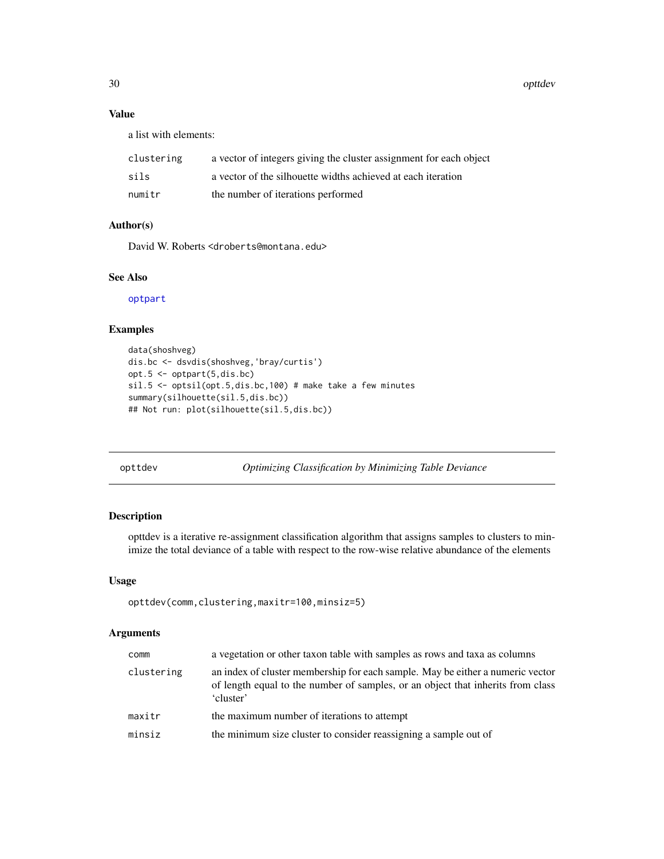30 optidevalues and the control of the control of the control of the control of the control of the control of the control of the control of the control of the control of the control of the control of the control of the con

# Value

a list with elements:

| clustering | a vector of integers giving the cluster assignment for each object |
|------------|--------------------------------------------------------------------|
| sils       | a vector of the silhouette widths achieved at each iteration       |
| numitr     | the number of iterations performed                                 |

# Author(s)

David W. Roberts <droberts@montana.edu>

# See Also

[optpart](#page-26-1)

# Examples

```
data(shoshveg)
dis.bc <- dsvdis(shoshveg,'bray/curtis')
opt.5 <- optpart(5,dis.bc)
sil.5 <- optsil(opt.5,dis.bc,100) # make take a few minutes
summary(silhouette(sil.5,dis.bc))
## Not run: plot(silhouette(sil.5,dis.bc))
```
opttdev *Optimizing Classification by Minimizing Table Deviance*

# Description

opttdev is a iterative re-assignment classification algorithm that assigns samples to clusters to minimize the total deviance of a table with respect to the row-wise relative abundance of the elements

# Usage

```
opttdev(comm,clustering,maxitr=100,minsiz=5)
```

| comm       | a vegetation or other taxon table with samples as rows and taxa as columns                                                                                                     |
|------------|--------------------------------------------------------------------------------------------------------------------------------------------------------------------------------|
| clustering | an index of cluster membership for each sample. May be either a numeric vector<br>of length equal to the number of samples, or an object that inherits from class<br>'cluster' |
| maxitr     | the maximum number of iterations to attempt                                                                                                                                    |
| minsiz     | the minimum size cluster to consider reassigning a sample out of                                                                                                               |

<span id="page-29-0"></span>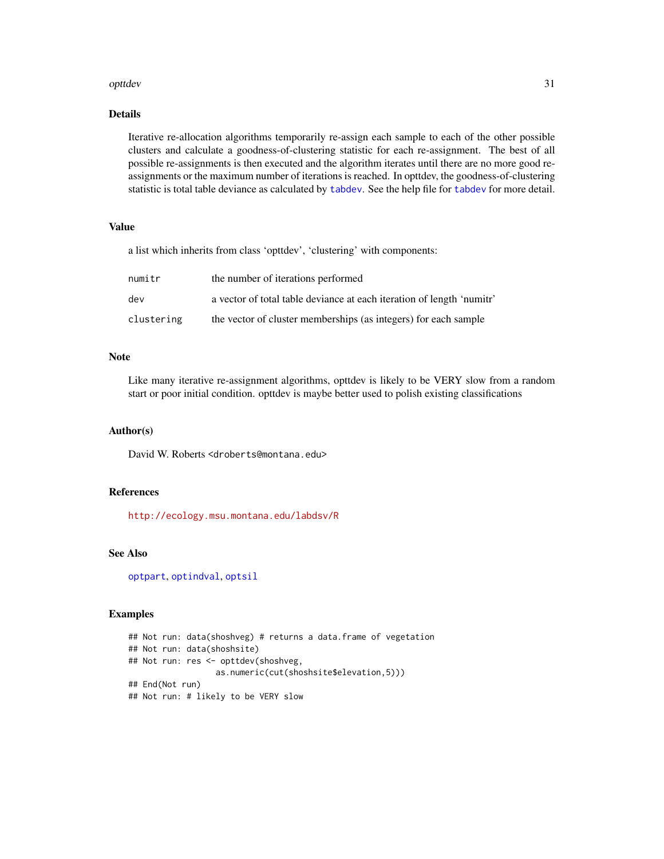#### <span id="page-30-0"></span>optidev 31

# Details

Iterative re-allocation algorithms temporarily re-assign each sample to each of the other possible clusters and calculate a goodness-of-clustering statistic for each re-assignment. The best of all possible re-assignments is then executed and the algorithm iterates until there are no more good reassignments or the maximum number of iterations is reached. In opttdev, the goodness-of-clustering statistic is total table deviance as calculated by [tabdev](#page-42-1). See the help file for [tabdev](#page-42-1) for more detail.

# Value

a list which inherits from class 'opttdev', 'clustering' with components:

| numitr     | the number of iterations performed                                    |
|------------|-----------------------------------------------------------------------|
| dev        | a vector of total table deviance at each iteration of length 'numitr' |
| clustering | the vector of cluster memberships (as integers) for each sample       |

#### Note

Like many iterative re-assignment algorithms, opttdev is likely to be VERY slow from a random start or poor initial condition. opttdev is maybe better used to polish existing classifications

# Author(s)

David W. Roberts <droberts@montana.edu>

# References

<http://ecology.msu.montana.edu/labdsv/R>

#### See Also

[optpart](#page-26-1), [optindval](#page-25-1), [optsil](#page-28-1)

# Examples

```
## Not run: data(shoshveg) # returns a data.frame of vegetation
## Not run: data(shoshsite)
## Not run: res <- opttdev(shoshveg,
                  as.numeric(cut(shoshsite$elevation,5)))
## End(Not run)
## Not run: # likely to be VERY slow
```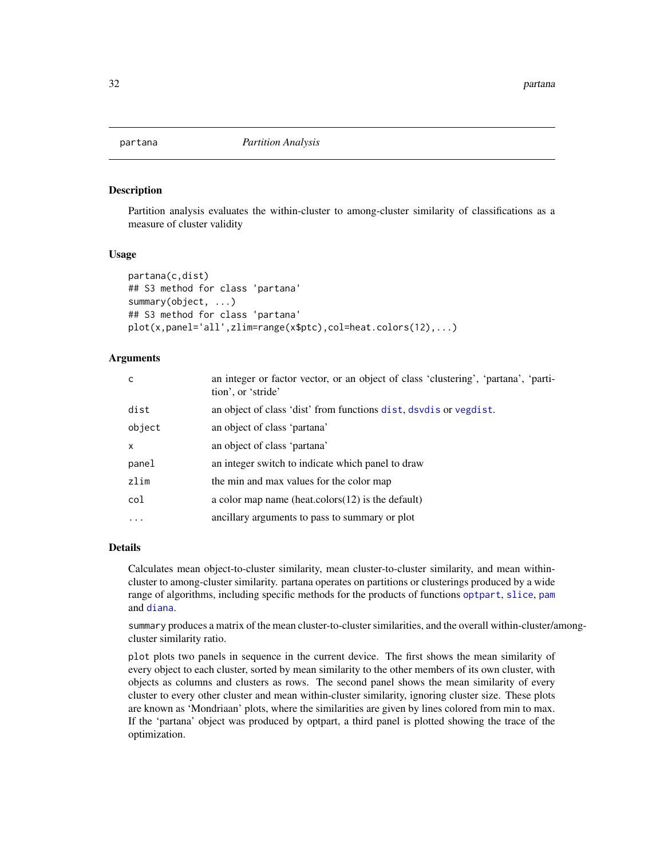<span id="page-31-1"></span><span id="page-31-0"></span>

# <span id="page-31-2"></span>Description

Partition analysis evaluates the within-cluster to among-cluster similarity of classifications as a measure of cluster validity

# Usage

```
partana(c,dist)
## S3 method for class 'partana'
summary(object, ...)
## S3 method for class 'partana'
plot(x,panel='all',zlim=range(x$ptc),col=heat.colors(12),...)
```
# Arguments

| c            | an integer or factor vector, or an object of class 'clustering', 'partana', 'parti-<br>tion', or 'stride' |
|--------------|-----------------------------------------------------------------------------------------------------------|
| dist         | an object of class 'dist' from functions dist, dsvdis or vegdist.                                         |
| object       | an object of class 'partana'                                                                              |
| $\mathsf{x}$ | an object of class 'partana'                                                                              |
| panel        | an integer switch to indicate which panel to draw                                                         |
| zlim         | the min and max values for the color map                                                                  |
| col          | a color map name (heat.colors $(12)$ ) is the default)                                                    |
| $\ddots$     | ancillary arguments to pass to summary or plot                                                            |

# Details

Calculates mean object-to-cluster similarity, mean cluster-to-cluster similarity, and mean withincluster to among-cluster similarity. partana operates on partitions or clusterings produced by a wide range of algorithms, including specific methods for the products of functions [optpart](#page-26-1), [slice](#page-40-1), [pam](#page-0-0) and [diana](#page-0-0).

summary produces a matrix of the mean cluster-to-cluster similarities, and the overall within-cluster/amongcluster similarity ratio.

plot plots two panels in sequence in the current device. The first shows the mean similarity of every object to each cluster, sorted by mean similarity to the other members of its own cluster, with objects as columns and clusters as rows. The second panel shows the mean similarity of every cluster to every other cluster and mean within-cluster similarity, ignoring cluster size. These plots are known as 'Mondriaan' plots, where the similarities are given by lines colored from min to max. If the 'partana' object was produced by optpart, a third panel is plotted showing the trace of the optimization.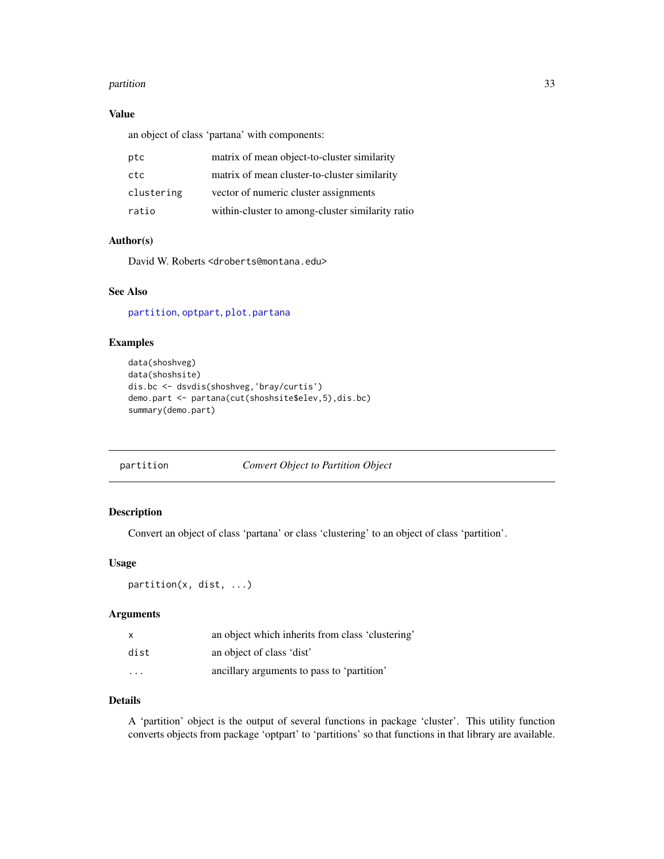#### <span id="page-32-0"></span>partition 33

# Value

an object of class 'partana' with components:

| matrix of mean object-to-cluster similarity      |
|--------------------------------------------------|
| matrix of mean cluster-to-cluster similarity     |
| vector of numeric cluster assignments            |
| within-cluster to among-cluster similarity ratio |
|                                                  |

# Author(s)

David W. Roberts <droberts@montana.edu>

# See Also

[partition](#page-32-1), [optpart](#page-26-1), [plot.partana](#page-31-2)

# Examples

```
data(shoshveg)
data(shoshsite)
dis.bc <- dsvdis(shoshveg,'bray/curtis')
demo.part <- partana(cut(shoshsite$elev,5),dis.bc)
summary(demo.part)
```
<span id="page-32-1"></span>partition *Convert Object to Partition Object*

# Description

Convert an object of class 'partana' or class 'clustering' to an object of class 'partition'.

#### Usage

partition(x, dist, ...)

# Arguments

| x       | an object which inherits from class 'clustering' |
|---------|--------------------------------------------------|
| dist    | an object of class 'dist'                        |
| $\cdot$ | ancillary arguments to pass to 'partition'       |

#### Details

A 'partition' object is the output of several functions in package 'cluster'. This utility function converts objects from package 'optpart' to 'partitions' so that functions in that library are available.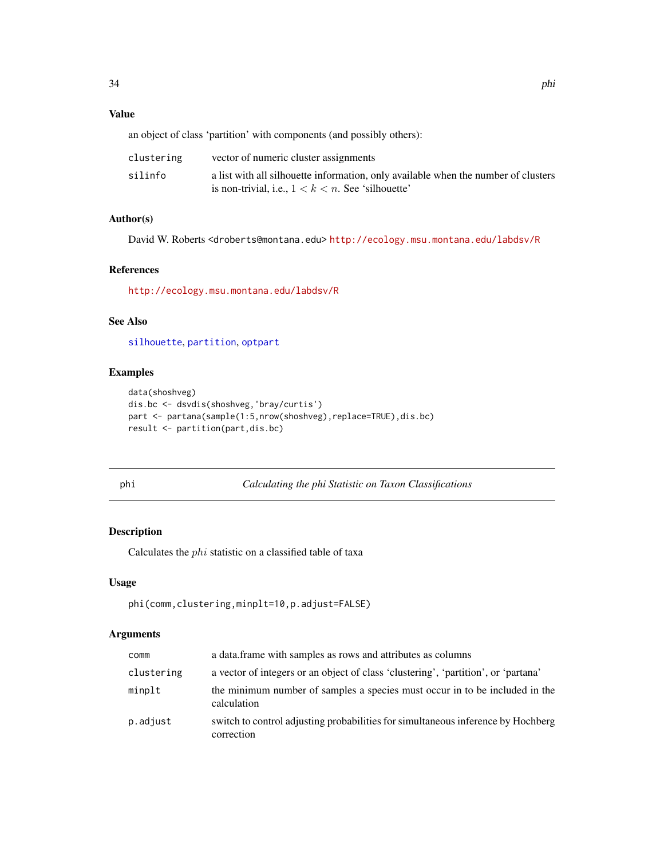# <span id="page-33-0"></span>Value

an object of class 'partition' with components (and possibly others):

| clustering | vector of numeric cluster assignments                                                                                                      |
|------------|--------------------------------------------------------------------------------------------------------------------------------------------|
| silinfo    | a list with all silhouette information, only available when the number of clusters<br>is non-trivial, i.e., $1 < k < n$ . See 'silhouette' |

# Author(s)

David W. Roberts <droberts@montana.edu> <http://ecology.msu.montana.edu/labdsv/R>

# References

<http://ecology.msu.montana.edu/labdsv/R>

# See Also

[silhouette](#page-0-0), [partition](#page-32-1), [optpart](#page-26-1)

# Examples

```
data(shoshveg)
dis.bc <- dsvdis(shoshveg,'bray/curtis')
part <- partana(sample(1:5,nrow(shoshveg),replace=TRUE),dis.bc)
result <- partition(part,dis.bc)
```
phi *Calculating the phi Statistic on Taxon Classifications*

# Description

Calculates the phi statistic on a classified table of taxa

# Usage

```
phi(comm,clustering,minplt=10,p.adjust=FALSE)
```

| comm       | a data. frame with samples as rows and attributes as columns                                   |
|------------|------------------------------------------------------------------------------------------------|
| clustering | a vector of integers or an object of class 'clustering', 'partition', or 'partana'             |
| minplt     | the minimum number of samples a species must occur in to be included in the<br>calculation     |
| p.adjust   | switch to control adjusting probabilities for simultaneous inference by Hochberg<br>correction |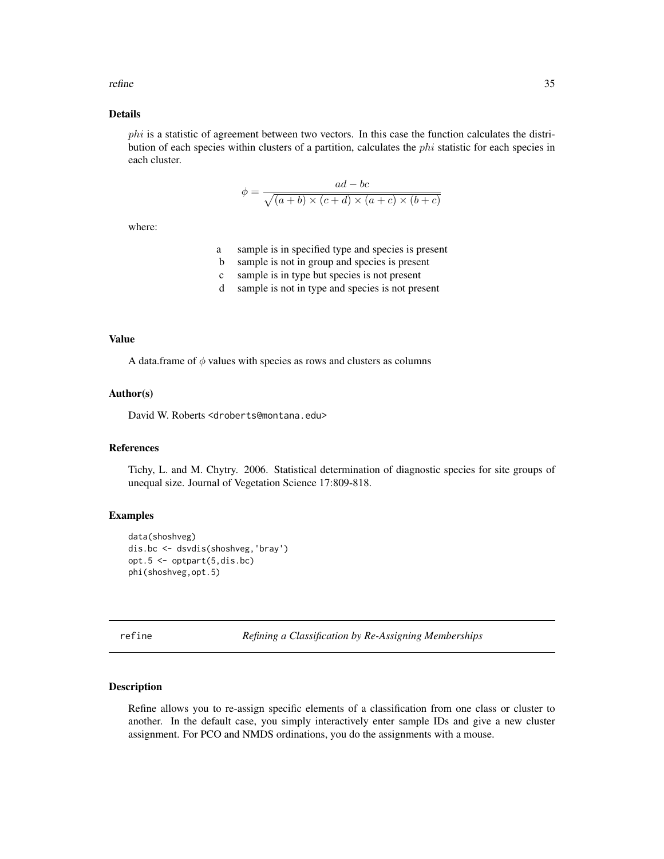#### <span id="page-34-0"></span>refine 35

# Details

 $phi$  is a statistic of agreement between two vectors. In this case the function calculates the distribution of each species within clusters of a partition, calculates the phi statistic for each species in each cluster.

$$
\phi = \frac{ad - bc}{\sqrt{(a+b)\times (c+d)\times (a+c)\times (b+c)}}
$$

where:

- a sample is in specified type and species is present
- b sample is not in group and species is present
- c sample is in type but species is not present
- d sample is not in type and species is not present

#### Value

A data.frame of  $\phi$  values with species as rows and clusters as columns

#### Author(s)

David W. Roberts <droberts@montana.edu>

# References

Tichy, L. and M. Chytry. 2006. Statistical determination of diagnostic species for site groups of unequal size. Journal of Vegetation Science 17:809-818.

#### Examples

```
data(shoshveg)
dis.bc <- dsvdis(shoshveg,'bray')
opt.5 <- optpart(5,dis.bc)
phi(shoshveg,opt.5)
```
refine *Refining a Classification by Re-Assigning Memberships*

#### Description

Refine allows you to re-assign specific elements of a classification from one class or cluster to another. In the default case, you simply interactively enter sample IDs and give a new cluster assignment. For PCO and NMDS ordinations, you do the assignments with a mouse.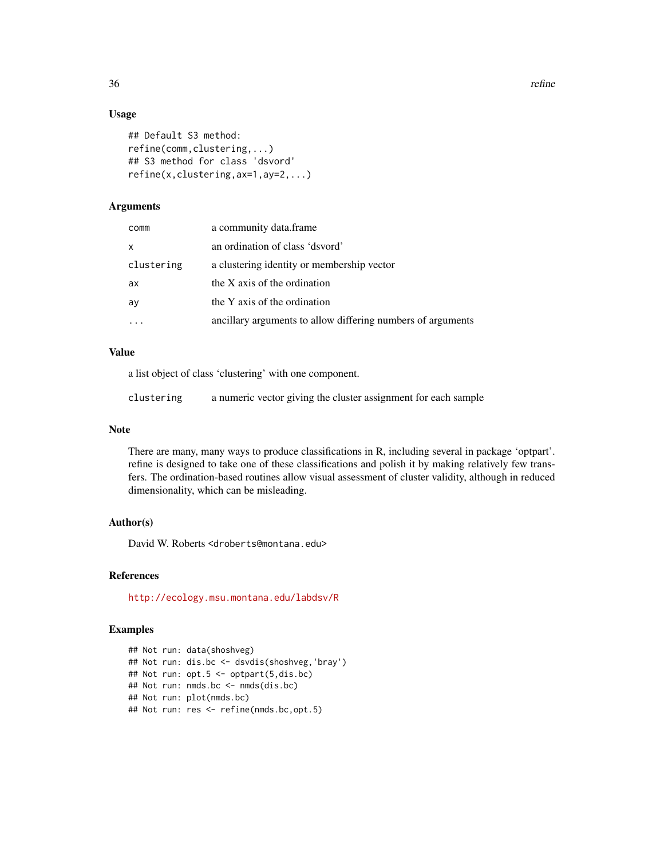36 refine

# Usage

```
## Default S3 method:
refine(comm,clustering,...)
## S3 method for class 'dsvord'
refine(x,clustering,ax=1,ay=2,...)
```
# Arguments

| comm       | a community data.frame                                      |
|------------|-------------------------------------------------------------|
| x          | an ordination of class 'dsvord'                             |
| clustering | a clustering identity or membership vector                  |
| ax         | the X axis of the ordination                                |
| ay         | the Y axis of the ordination                                |
|            | ancillary arguments to allow differing numbers of arguments |

# Value

a list object of class 'clustering' with one component.

clustering a numeric vector giving the cluster assignment for each sample

# Note

There are many, many ways to produce classifications in R, including several in package 'optpart'. refine is designed to take one of these classifications and polish it by making relatively few transfers. The ordination-based routines allow visual assessment of cluster validity, although in reduced dimensionality, which can be misleading.

# Author(s)

David W. Roberts <droberts@montana.edu>

#### References

<http://ecology.msu.montana.edu/labdsv/R>

#### Examples

```
## Not run: data(shoshveg)
## Not run: dis.bc <- dsvdis(shoshveg,'bray')
## Not run: opt.5 <- optpart(5,dis.bc)
## Not run: nmds.bc <- nmds(dis.bc)
## Not run: plot(nmds.bc)
## Not run: res <- refine(nmds.bc,opt.5)
```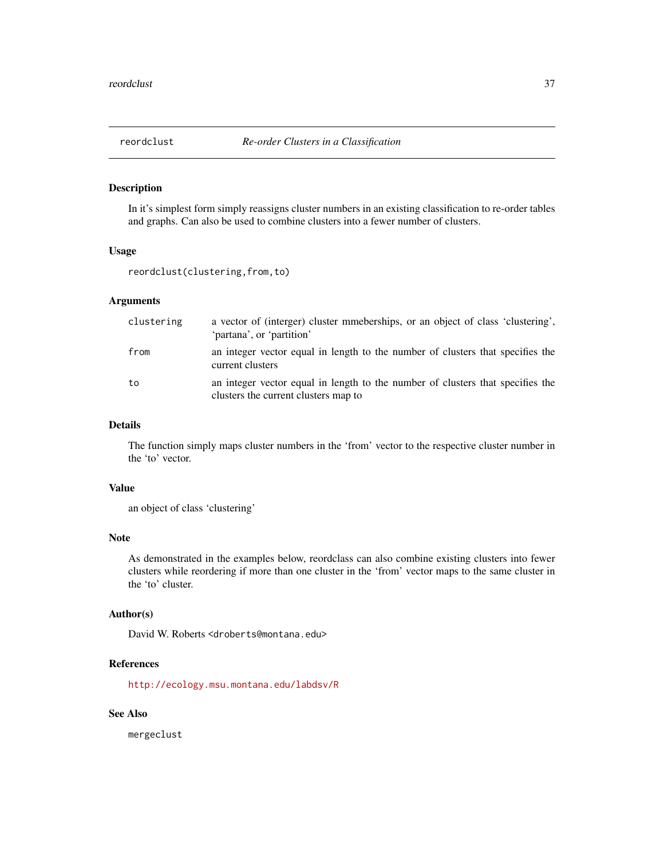#### <span id="page-36-0"></span>Description

In it's simplest form simply reassigns cluster numbers in an existing classification to re-order tables and graphs. Can also be used to combine clusters into a fewer number of clusters.

#### Usage

reordclust(clustering,from,to)

#### Arguments

| clustering | a vector of (interger) cluster mmeberships, or an object of class 'clustering',<br>'partana', or 'partition'           |
|------------|------------------------------------------------------------------------------------------------------------------------|
| from       | an integer vector equal in length to the number of clusters that specifies the<br>current clusters                     |
| to         | an integer vector equal in length to the number of clusters that specifies the<br>clusters the current clusters map to |

# Details

The function simply maps cluster numbers in the 'from' vector to the respective cluster number in the 'to' vector.

# Value

an object of class 'clustering'

# Note

As demonstrated in the examples below, reordclass can also combine existing clusters into fewer clusters while reordering if more than one cluster in the 'from' vector maps to the same cluster in the 'to' cluster.

# Author(s)

David W. Roberts <droberts@montana.edu>

# References

<http://ecology.msu.montana.edu/labdsv/R>

# See Also

mergeclust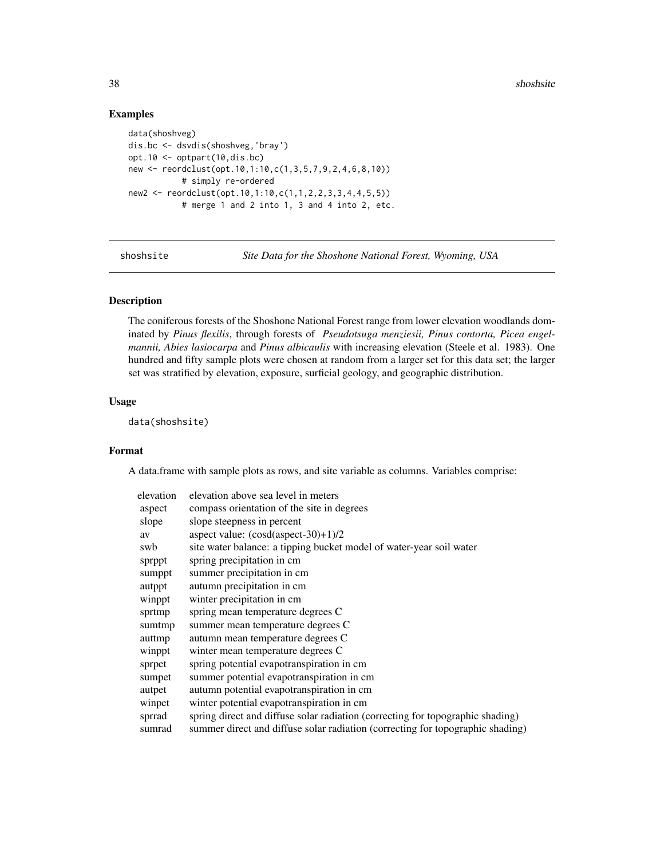# Examples

```
data(shoshveg)
dis.bc <- dsvdis(shoshveg,'bray')
opt.10 <- optpart(10,dis.bc)
new <- reordclust(opt.10,1:10,c(1,3,5,7,9,2,4,6,8,10))
           # simply re-ordered
new2 <- reordclust(opt.10,1:10,c(1,1,2,2,3,3,4,4,5,5))
           # merge 1 and 2 into 1, 3 and 4 into 2, etc.
```
shoshsite *Site Data for the Shoshone National Forest, Wyoming, USA*

### Description

The coniferous forests of the Shoshone National Forest range from lower elevation woodlands dominated by *Pinus flexilis*, through forests of *Pseudotsuga menziesii, Pinus contorta, Picea engelmannii, Abies lasiocarpa* and *Pinus albicaulis* with increasing elevation (Steele et al. 1983). One hundred and fifty sample plots were chosen at random from a larger set for this data set; the larger set was stratified by elevation, exposure, surficial geology, and geographic distribution.

# Usage

data(shoshsite)

# Format

A data.frame with sample plots as rows, and site variable as columns. Variables comprise:

| elevation | elevation above sea level in meters                                            |
|-----------|--------------------------------------------------------------------------------|
| aspect    | compass orientation of the site in degrees                                     |
| slope     | slope steepness in percent                                                     |
| av        | aspect value: (cosd(aspect-30)+1)/2                                            |
| swb       | site water balance: a tipping bucket model of water-year soil water            |
| sprppt    | spring precipitation in cm                                                     |
| sumppt    | summer precipitation in cm                                                     |
| autppt    | autumn precipitation in cm                                                     |
| winppt    | winter precipitation in cm                                                     |
| sprtmp    | spring mean temperature degrees C                                              |
| sumtmp    | summer mean temperature degrees C                                              |
| auttmp    | autumn mean temperature degrees C                                              |
| winppt    | winter mean temperature degrees C                                              |
| sprpet    | spring potential evapotranspiration in cm.                                     |
| sumpet    | summer potential evapotranspiration in cm                                      |
| autpet    | autumn potential evapotranspiration in cm                                      |
| winpet    | winter potential evapotranspiration in cm                                      |
| sprrad    | spring direct and diffuse solar radiation (correcting for topographic shading) |
| sumrad    | summer direct and diffuse solar radiation (correcting for topographic shading) |

<span id="page-37-0"></span>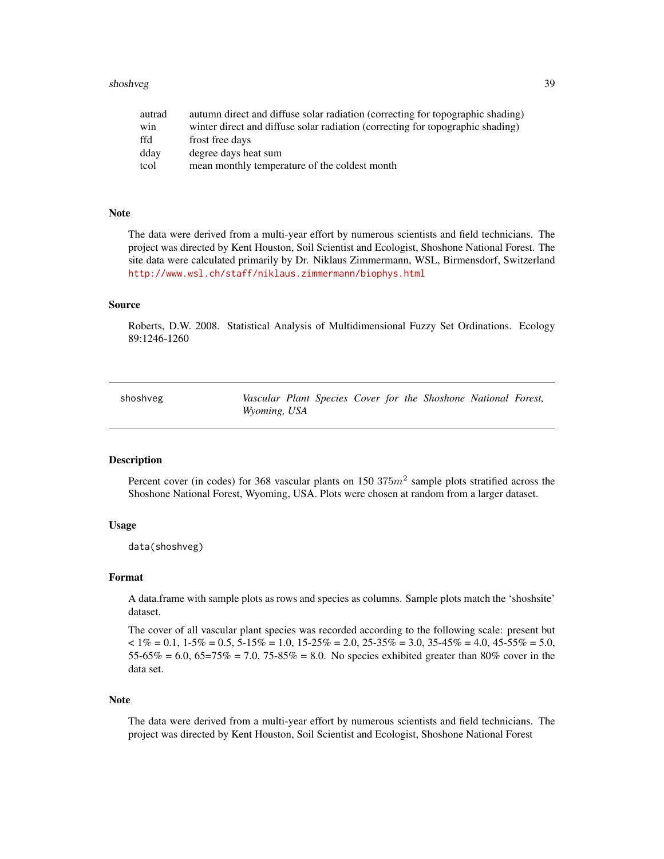#### <span id="page-38-0"></span>shoshveg 39

| autumn direct and diffuse solar radiation (correcting for topographic shading) |
|--------------------------------------------------------------------------------|
| winter direct and diffuse solar radiation (correcting for topographic shading) |
| frost free days                                                                |
| degree days heat sum                                                           |
| mean monthly temperature of the coldest month                                  |
|                                                                                |

# Note

The data were derived from a multi-year effort by numerous scientists and field technicians. The project was directed by Kent Houston, Soil Scientist and Ecologist, Shoshone National Forest. The site data were calculated primarily by Dr. Niklaus Zimmermann, WSL, Birmensdorf, Switzerland <http://www.wsl.ch/staff/niklaus.zimmermann/biophys.html>

# Source

Roberts, D.W. 2008. Statistical Analysis of Multidimensional Fuzzy Set Ordinations. Ecology 89:1246-1260

| shoshveg |                     |  |  | Vascular Plant Species Cover for the Shoshone National Forest, |  |
|----------|---------------------|--|--|----------------------------------------------------------------|--|
|          | <i>Wyoming, USA</i> |  |  |                                                                |  |

#### Description

Percent cover (in codes) for 368 vascular plants on 150  $375m^2$  sample plots stratified across the Shoshone National Forest, Wyoming, USA. Plots were chosen at random from a larger dataset.

#### Usage

data(shoshveg)

#### Format

A data.frame with sample plots as rows and species as columns. Sample plots match the 'shoshsite' dataset.

The cover of all vascular plant species was recorded according to the following scale: present but  $< 1\% = 0.1, 1.5\% = 0.5, 5.15\% = 1.0, 15.25\% = 2.0, 25.35\% = 3.0, 35.45\% = 4.0, 45.55\% = 5.0,$ 55-65% = 6.0, 65=75% = 7.0, 75-85% = 8.0. No species exhibited greater than 80% cover in the data set.

#### Note

The data were derived from a multi-year effort by numerous scientists and field technicians. The project was directed by Kent Houston, Soil Scientist and Ecologist, Shoshone National Forest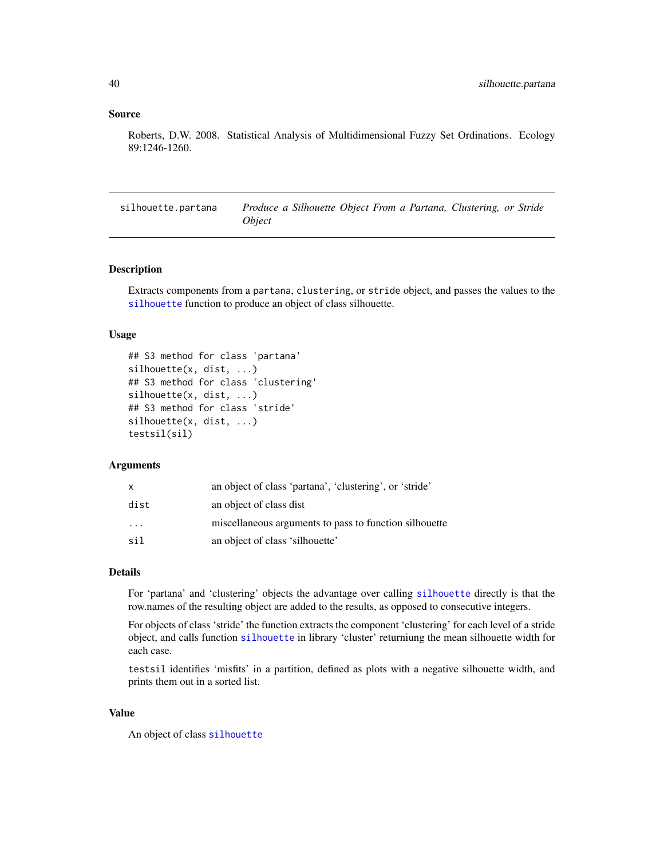#### <span id="page-39-0"></span>Source

Roberts, D.W. 2008. Statistical Analysis of Multidimensional Fuzzy Set Ordinations. Ecology 89:1246-1260.

silhouette.partana *Produce a Silhouette Object From a Partana, Clustering, or Stride Object*

# **Description**

Extracts components from a partana, clustering, or stride object, and passes the values to the [silhouette](#page-0-0) function to produce an object of class silhouette.

# Usage

```
## S3 method for class 'partana'
silhouette(x, dist, ...)
## S3 method for class 'clustering'
silhouette(x, dist, ...)
## S3 method for class 'stride'
silhouette(x, dist, ...)
testsil(sil)
```
# Arguments

| x    | an object of class 'partana', 'clustering', or 'stride' |
|------|---------------------------------------------------------|
| dist | an object of class dist                                 |
| .    | miscellaneous arguments to pass to function silhouette  |
| sil  | an object of class 'silhouette'                         |

# Details

For 'partana' and 'clustering' objects the advantage over calling [silhouette](#page-0-0) directly is that the row.names of the resulting object are added to the results, as opposed to consecutive integers.

For objects of class 'stride' the function extracts the component 'clustering' for each level of a stride object, and calls function [silhouette](#page-0-0) in library 'cluster' returniung the mean silhouette width for each case.

testsil identifies 'misfits' in a partition, defined as plots with a negative silhouette width, and prints them out in a sorted list.

#### Value

An object of class [silhouette](#page-0-0)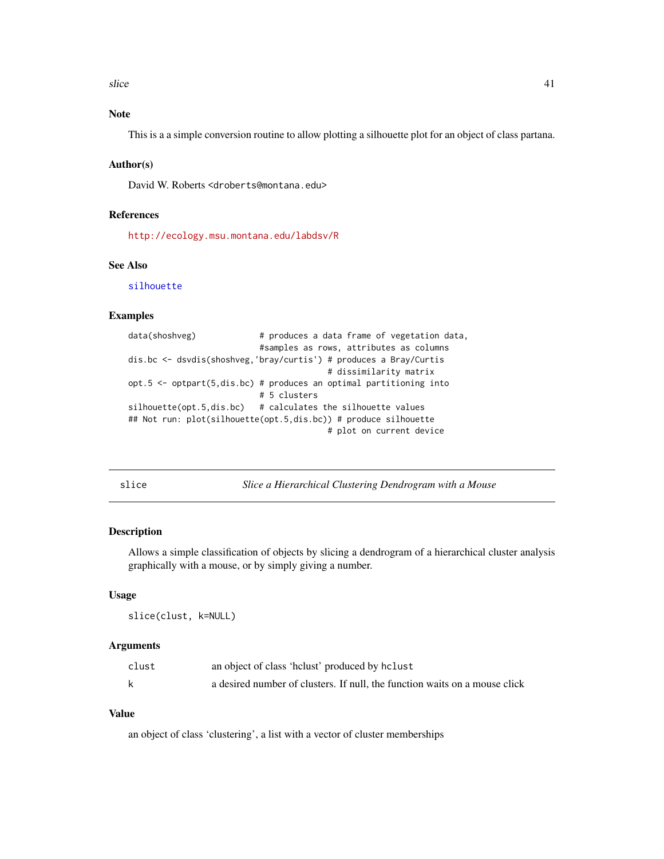<span id="page-40-0"></span>slice 41

# Note

This is a a simple conversion routine to allow plotting a silhouette plot for an object of class partana.

# Author(s)

David W. Roberts <droberts@montana.edu>

# References

<http://ecology.msu.montana.edu/labdsv/R>

#### See Also

[silhouette](#page-0-0)

# Examples

data(shoshveg) # produces a data frame of vegetation data, #samples as rows, attributes as columns dis.bc <- dsvdis(shoshveg,'bray/curtis') # produces a Bray/Curtis # dissimilarity matrix opt.5  $\leq$  optpart(5,dis.bc) # produces an optimal partitioning into # 5 clusters silhouette(opt.5,dis.bc) # calculates the silhouette values ## Not run: plot(silhouette(opt.5,dis.bc)) # produce silhouette # plot on current device

<span id="page-40-1"></span>slice *Slice a Hierarchical Clustering Dendrogram with a Mouse*

# Description

Allows a simple classification of objects by slicing a dendrogram of a hierarchical cluster analysis graphically with a mouse, or by simply giving a number.

# Usage

slice(clust, k=NULL)

#### Arguments

| clust | an object of class 'helust' produced by helust                             |
|-------|----------------------------------------------------------------------------|
|       | a desired number of clusters. If null, the function waits on a mouse click |

# Value

an object of class 'clustering', a list with a vector of cluster memberships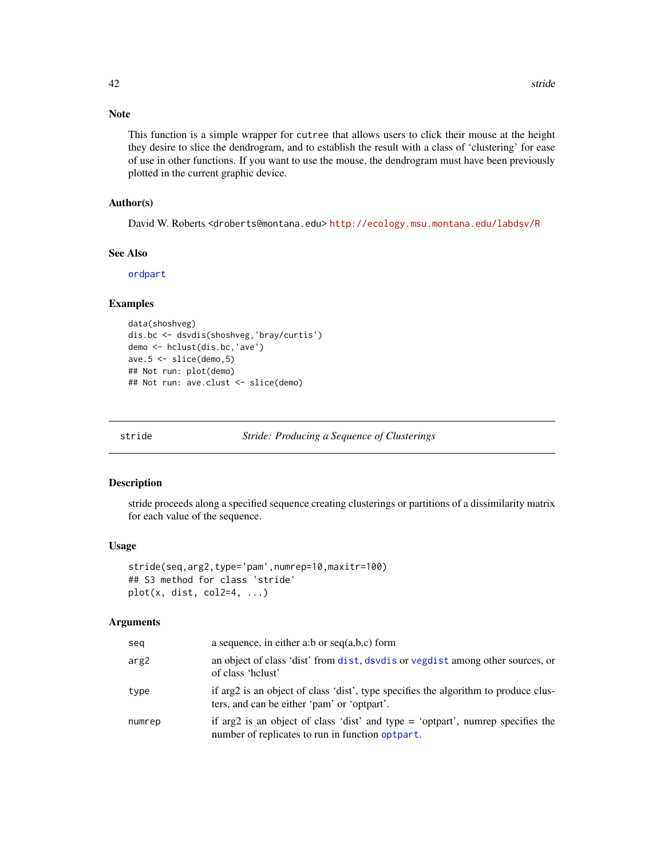# <span id="page-41-0"></span>Note

This function is a simple wrapper for cutree that allows users to click their mouse at the height they desire to slice the dendrogram, and to establish the result with a class of 'clustering' for ease of use in other functions. If you want to use the mouse, the dendrogram must have been previously plotted in the current graphic device.

# Author(s)

David W. Roberts <droberts@montana.edu> <http://ecology.msu.montana.edu/labdsv/R>

#### See Also

[ordpart](#page-0-0)

# Examples

```
data(shoshveg)
dis.bc <- dsvdis(shoshveg,'bray/curtis')
demo <- hclust(dis.bc,'ave')
ave.5 \le slice(demo, 5)
## Not run: plot(demo)
## Not run: ave.clust <- slice(demo)
```
<span id="page-41-1"></span>stride *Stride: Producing a Sequence of Clusterings*

# Description

stride proceeds along a specified sequence creating clusterings or partitions of a dissimilarity matrix for each value of the sequence.

#### Usage

```
stride(seq,arg2,type='pam',numrep=10,maxitr=100)
## S3 method for class 'stride'
plot(x, dist, col2=4, ...)
```

| seq    | a sequence, in either a:b or $seq(a,b,c)$ form                                                                                      |
|--------|-------------------------------------------------------------------------------------------------------------------------------------|
| arg2   | an object of class 'dist' from dist, dsvdis or vegdist among other sources, or<br>of class 'helust'                                 |
| type   | if arg2 is an object of class 'dist', type specifies the algorithm to produce clus-<br>ters, and can be either 'pam' or 'optpart'.  |
| numrep | if arg2 is an object of class 'dist' and type = 'optpart', numrep specifies the<br>number of replicates to run in function optpart. |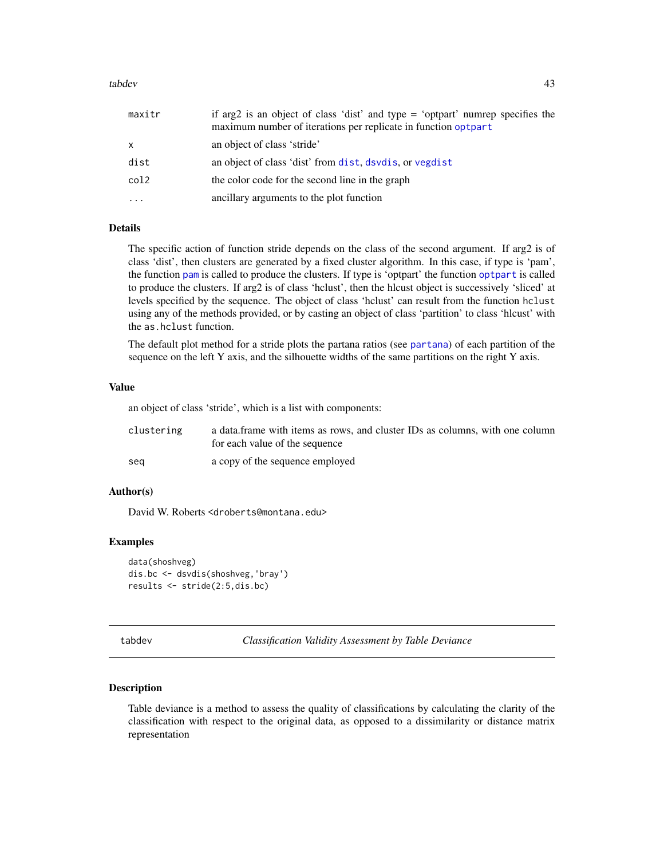#### <span id="page-42-0"></span>tabdev and the set of the set of the set of the set of the set of the set of the set of the set of the set of the set of the set of the set of the set of the set of the set of the set of the set of the set of the set of th

| maxitr   | if arg2 is an object of class 'dist' and type = 'optpart' numrep specifies the<br>maximum number of iterations per replicate in function optpart |
|----------|--------------------------------------------------------------------------------------------------------------------------------------------------|
| X        | an object of class 'stride'                                                                                                                      |
| dist     | an object of class 'dist' from dist, dsvdis, or vegdist                                                                                          |
| col2     | the color code for the second line in the graph                                                                                                  |
| $\cdots$ | ancillary arguments to the plot function                                                                                                         |

# Details

The specific action of function stride depends on the class of the second argument. If arg2 is of class 'dist', then clusters are generated by a fixed cluster algorithm. In this case, if type is 'pam', the function [pam](#page-0-0) is called to produce the clusters. If type is 'optpart' the function [optpart](#page-26-1) is called to produce the clusters. If arg2 is of class 'hclust', then the hlcust object is successively 'sliced' at levels specified by the sequence. The object of class 'hclust' can result from the function hclust using any of the methods provided, or by casting an object of class 'partition' to class 'hlcust' with the as.hclust function.

The default plot method for a stride plots the partana ratios (see [partana](#page-31-1)) of each partition of the sequence on the left Y axis, and the silhouette widths of the same partitions on the right Y axis.

# Value

an object of class 'stride', which is a list with components:

| clustering | a data frame with items as rows, and cluster IDs as columns, with one column |
|------------|------------------------------------------------------------------------------|
|            | for each value of the sequence                                               |
| sea        | a copy of the sequence employed                                              |

# Author(s)

David W. Roberts <droberts@montana.edu>

# Examples

```
data(shoshveg)
dis.bc <- dsvdis(shoshveg,'bray')
results <- stride(2:5,dis.bc)
```
<span id="page-42-1"></span>tabdev *Classification Validity Assessment by Table Deviance*

# **Description**

Table deviance is a method to assess the quality of classifications by calculating the clarity of the classification with respect to the original data, as opposed to a dissimilarity or distance matrix representation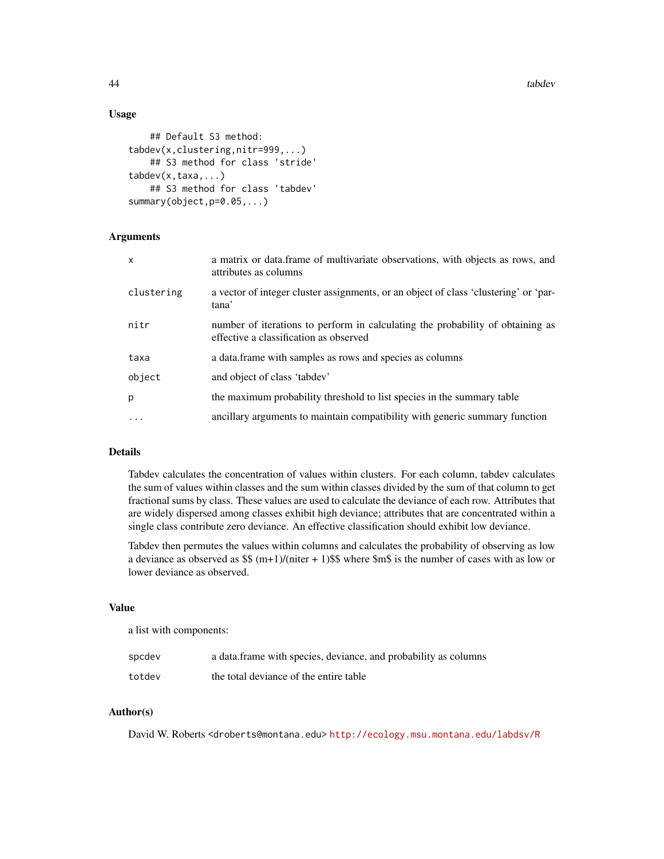44 tabdev

# Usage

```
## Default S3 method:
tabdev(x,clustering,nitr=999,...)
    ## S3 method for class 'stride'
tabdev(x,taxa,...)
    ## S3 method for class 'tabdev'
summary(object,p=0.05,...)
```
# **Arguments**

| X          | a matrix or data.frame of multivariate observations, with objects as rows, and<br>attributes as columns                  |
|------------|--------------------------------------------------------------------------------------------------------------------------|
| clustering | a vector of integer cluster assignments, or an object of class 'clustering' or 'par-<br>tana'                            |
| nitr       | number of iterations to perform in calculating the probability of obtaining as<br>effective a classification as observed |
| taxa       | a data. frame with samples as rows and species as columns                                                                |
| object     | and object of class 'tabdev'                                                                                             |
| p          | the maximum probability threshold to list species in the summary table                                                   |
| $\cdot$    | ancillary arguments to maintain compatibility with generic summary function                                              |

# Details

Tabdev calculates the concentration of values within clusters. For each column, tabdev calculates the sum of values within classes and the sum within classes divided by the sum of that column to get fractional sums by class. These values are used to calculate the deviance of each row. Attributes that are widely dispersed among classes exhibit high deviance; attributes that are concentrated within a single class contribute zero deviance. An effective classification should exhibit low deviance.

Tabdev then permutes the values within columns and calculates the probability of observing as low a deviance as observed as \$\$ (m+1)/(niter + 1)\$\$ where \$m\$ is the number of cases with as low or lower deviance as observed.

# Value

a list with components:

| spcdev | a data frame with species, deviance, and probability as columns |
|--------|-----------------------------------------------------------------|
| totdev | the total deviance of the entire table                          |

# Author(s)

David W. Roberts <droberts@montana.edu> <http://ecology.msu.montana.edu/labdsv/R>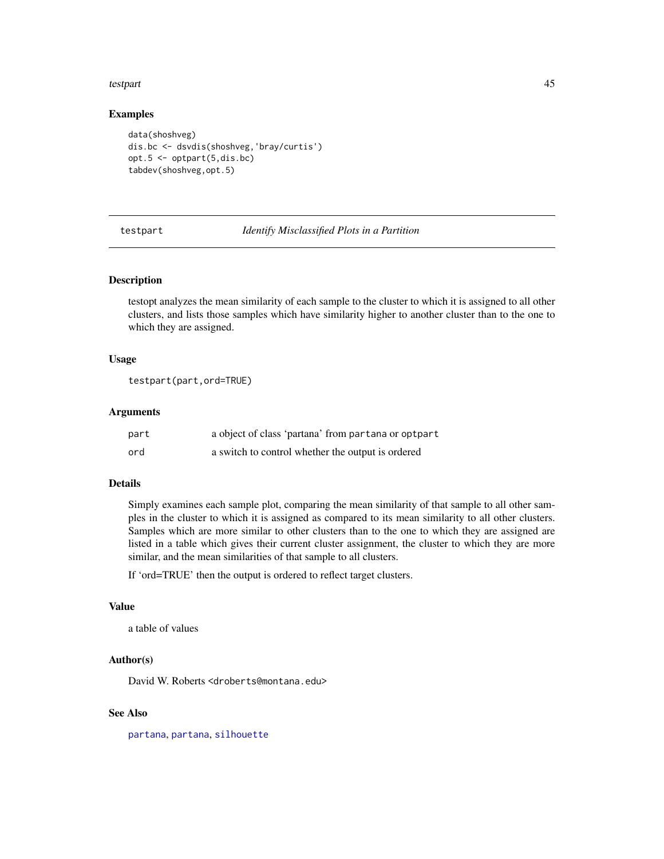#### <span id="page-44-0"></span>testpart and the state of the state of the state of the state of the state of the state of the state of the state of the state of the state of the state of the state of the state of the state of the state of the state of t

# Examples

```
data(shoshveg)
dis.bc <- dsvdis(shoshveg,'bray/curtis')
opt.5 <- optpart(5,dis.bc)
tabdev(shoshveg,opt.5)
```
testpart *Identify Misclassified Plots in a Partition*

# Description

testopt analyzes the mean similarity of each sample to the cluster to which it is assigned to all other clusters, and lists those samples which have similarity higher to another cluster than to the one to which they are assigned.

# Usage

```
testpart(part,ord=TRUE)
```
#### Arguments

| part | a object of class 'partana' from partana or optpart |
|------|-----------------------------------------------------|
| ord  | a switch to control whether the output is ordered   |

#### Details

Simply examines each sample plot, comparing the mean similarity of that sample to all other samples in the cluster to which it is assigned as compared to its mean similarity to all other clusters. Samples which are more similar to other clusters than to the one to which they are assigned are listed in a table which gives their current cluster assignment, the cluster to which they are more similar, and the mean similarities of that sample to all clusters.

If 'ord=TRUE' then the output is ordered to reflect target clusters.

#### Value

a table of values

#### Author(s)

David W. Roberts <droberts@montana.edu>

#### See Also

[partana](#page-31-1), [partana](#page-31-1), [silhouette](#page-0-0)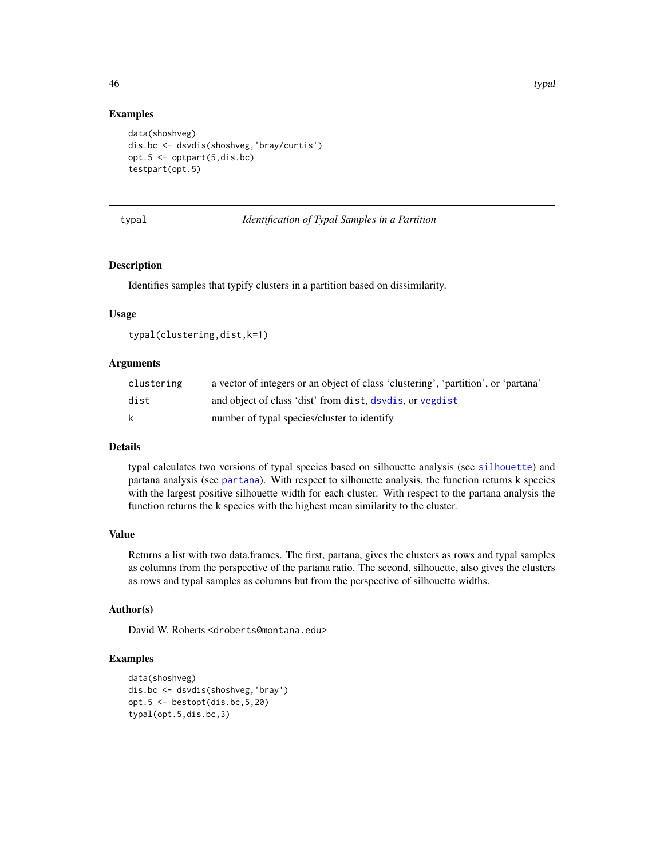# Examples

```
data(shoshveg)
dis.bc <- dsvdis(shoshveg,'bray/curtis')
opt.5 <- optpart(5,dis.bc)
testpart(opt.5)
```
<span id="page-45-1"></span>typal *Identification of Typal Samples in a Partition*

# Description

Identifies samples that typify clusters in a partition based on dissimilarity.

# Usage

```
typal(clustering,dist,k=1)
```
# Arguments

| clustering | a vector of integers or an object of class 'clustering', 'partition', or 'partana' |
|------------|------------------------------------------------------------------------------------|
| dist       | and object of class 'dist' from dist, dsvdis, or vegdist                           |
| k          | number of typal species/cluster to identify                                        |

# Details

typal calculates two versions of typal species based on silhouette analysis (see [silhouette](#page-0-0)) and partana analysis (see [partana](#page-31-1)). With respect to silhouette analysis, the function returns k species with the largest positive silhouette width for each cluster. With respect to the partana analysis the function returns the k species with the highest mean similarity to the cluster.

#### Value

Returns a list with two data.frames. The first, partana, gives the clusters as rows and typal samples as columns from the perspective of the partana ratio. The second, silhouette, also gives the clusters as rows and typal samples as columns but from the perspective of silhouette widths.

### Author(s)

David W. Roberts <droberts@montana.edu>

#### Examples

```
data(shoshveg)
dis.bc <- dsvdis(shoshveg,'bray')
opt.5 <- bestopt(dis.bc,5,20)
typal(opt.5,dis.bc,3)
```
<span id="page-45-0"></span>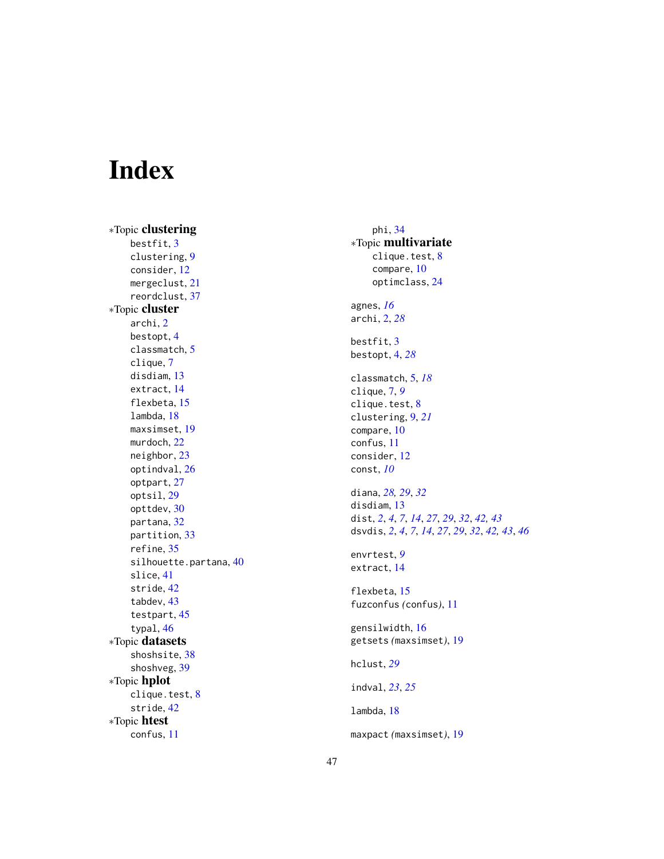# <span id="page-46-0"></span>Index

∗Topic clustering bestfit , [3](#page-2-0) clustering , [9](#page-8-0) consider , [12](#page-11-0) mergeclust , [21](#page-20-0) reordclust , [37](#page-36-0) ∗Topic cluster archi , [2](#page-1-0) bestopt , [4](#page-3-0) classmatch , [5](#page-4-0) clique , [7](#page-6-0) disdiam , [13](#page-12-0) extract , [14](#page-13-0) flexbeta , [15](#page-14-0) lambda , [18](#page-17-0) maxsimset , [19](#page-18-0) murdoch , [22](#page-21-0) neighbor , [23](#page-22-0) optindval , [26](#page-25-0) optpart , [27](#page-26-0) optsil , [29](#page-28-0) opttdev , [30](#page-29-0) partana , [32](#page-31-0) partition , [33](#page-32-0) refine , [35](#page-34-0) silhouette.partana, [40](#page-39-0) slice , [41](#page-40-0) stride , [42](#page-41-0) tabdev , [43](#page-42-0) testpart , [45](#page-44-0) typal , [46](#page-45-0) ∗Topic datasets shoshsite , [38](#page-37-0) shoshveg , [39](#page-38-0) ∗Topic hplot clique.test, [8](#page-7-0) stride , [42](#page-41-0) ∗Topic htest confus , [11](#page-10-0)

phi , [34](#page-33-0) ∗Topic multivariate clique.test, <mark>[8](#page-7-0)</mark> compare , [10](#page-9-0) optimclass , [24](#page-23-0) agnes , *[16](#page-15-0)* archi , [2](#page-1-0) , *[28](#page-27-0)* bestfit , [3](#page-2-0) bestopt , [4](#page-3-0) , *[28](#page-27-0)* classmatch , [5](#page-4-0) , *[18](#page-17-0)* clique , [7](#page-6-0) , *[9](#page-8-0)* clique.test, <mark>[8](#page-7-0)</mark> clustering , [9](#page-8-0) , *[21](#page-20-0)* compare , [10](#page-9-0) confus , [11](#page-10-0) consider , [12](#page-11-0) const , *[10](#page-9-0)* diana , *[28](#page-27-0) , [29](#page-28-0)* , *[32](#page-31-0)* disdiam , [13](#page-12-0) dist , *[2](#page-1-0)* , *[4](#page-3-0)* , *[7](#page-6-0)* , *[14](#page-13-0)* , *[27](#page-26-0)* , *[29](#page-28-0)* , *[32](#page-31-0)* , *[42](#page-41-0) , [43](#page-42-0)* dsvdis , *[2](#page-1-0)* , *[4](#page-3-0)* , *[7](#page-6-0)* , *[14](#page-13-0)* , *[27](#page-26-0)* , *[29](#page-28-0)* , *[32](#page-31-0)* , *[42](#page-41-0) , [43](#page-42-0)* , *[46](#page-45-0)* envrtest , *[9](#page-8-0)* extract , [14](#page-13-0) flexbeta , [15](#page-14-0) fuzconfus *(*confus *)* , [11](#page-10-0) gensilwidth , [16](#page-15-0) getsets *(*maxsimset *)* , [19](#page-18-0) hclust , *[29](#page-28-0)* indval , *[23](#page-22-0)* , *[25](#page-24-0)* lambda , [18](#page-17-0) maxpact *(*maxsimset *)* , [19](#page-18-0)